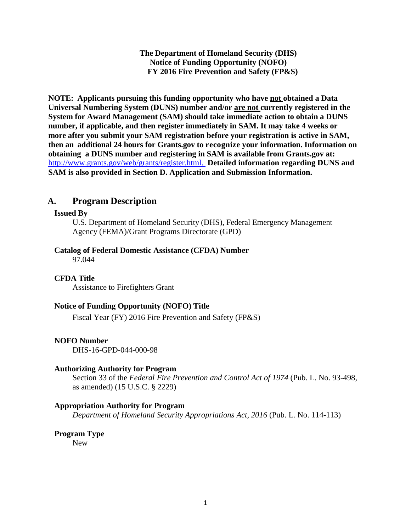**The Department of Homeland Security (DHS) Notice of Funding Opportunity (NOFO) FY 2016 Fire Prevention and Safety (FP&S)** 

**NOTE: Applicants pursuing this funding opportunity who have not obtained a Data Universal Numbering System (DUNS) number and/or are not currently registered in the System for Award Management (SAM) should take immediate action to obtain a DUNS number, if applicable, and then register immediately in SAM. It may take 4 weeks or more after you submit your SAM registration before your registration is active in SAM, then an additional 24 hours for Grants.gov to recognize your information. Information on obtaining a DUNS number and registering in SAM is available from Grants.gov at:**  [http://www.grants.gov/web/grants/register.html.](http://www.grants.gov/web/grants/register.html) **Detailed information regarding DUNS and SAM is also provided in Section D. Application and Submission Information.**

# **A. Program Description**

#### **Issued By**

U.S. Department of Homeland Security (DHS), Federal Emergency Management Agency (FEMA)/Grant Programs Directorate (GPD)

#### **Catalog of Federal Domestic Assistance (CFDA) Number**

97.044

#### **CFDA Title**

Assistance to Firefighters Grant

#### **Notice of Funding Opportunity (NOFO) Title**

Fiscal Year (FY) 2016 Fire Prevention and Safety (FP&S)

#### **NOFO Number**

DHS-16-GPD-044-000-98

#### **Authorizing Authority for Program**

Section 33 of the *Federal Fire Prevention and Control Act of 1974* (Pub. L. No. 93-498, as amended) (15 U.S.C. § 2229)

#### **Appropriation Authority for Program**

*Department of Homeland Security Appropriations Act, 2016* (Pub. L. No. 114-113)

# **Program Type**

New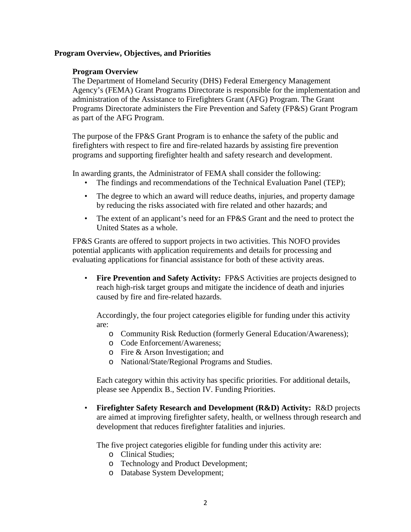#### **Program Overview, Objectives, and Priorities**

#### **Program Overview**

The Department of Homeland Security (DHS) Federal Emergency Management Agency's (FEMA) Grant Programs Directorate is responsible for the implementation and administration of the Assistance to Firefighters Grant (AFG) Program. The Grant Programs Directorate administers the Fire Prevention and Safety (FP&S) Grant Program as part of the AFG Program.

The purpose of the FP&S Grant Program is to enhance the safety of the public and firefighters with respect to fire and fire-related hazards by assisting fire prevention programs and supporting firefighter health and safety research and development.

In awarding grants, the Administrator of FEMA shall consider the following:

- The findings and recommendations of the Technical Evaluation Panel (TEP);
- The degree to which an award will reduce deaths, injuries, and property damage by reducing the risks associated with fire related and other hazards; and
- The extent of an applicant's need for an FP&S Grant and the need to protect the United States as a whole.

FP&S Grants are offered to support projects in two activities. This NOFO provides potential applicants with application requirements and details for processing and evaluating applications for financial assistance for both of these activity areas.

• **Fire Prevention and Safety Activity:** FP&S Activities are projects designed to reach high-risk target groups and mitigate the incidence of death and injuries caused by fire and fire-related hazards.

Accordingly, the four project categories eligible for funding under this activity are:

- o Community Risk Reduction (formerly General Education/Awareness);
- o Code Enforcement/Awareness;
- o Fire & Arson Investigation; and
- o National/State/Regional Programs and Studies.

Each category within this activity has specific priorities. For additional details, please see Appendix B., Section IV. Funding Priorities.

• **Firefighter Safety Research and Development (R&D) Activity:** R&D projects are aimed at improving firefighter safety, health, or wellness through research and development that reduces firefighter fatalities and injuries.

The five project categories eligible for funding under this activity are:

- o Clinical Studies;
- o Technology and Product Development;
- o Database System Development;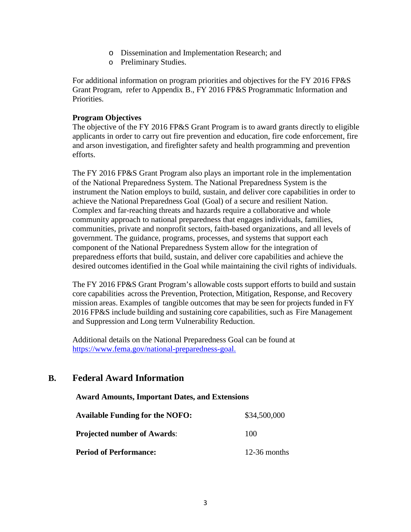- o Dissemination and Implementation Research; and
- o Preliminary Studies.

For additional information on program priorities and objectives for the FY 2016 FP&S Grant Program, refer to Appendix B., FY 2016 FP&S Programmatic Information and Priorities.

#### **Program Objectives**

The objective of the FY 2016 FP&S Grant Program is to award grants directly to eligible applicants in order to carry out fire prevention and education, fire code enforcement, fire and arson investigation, and firefighter safety and health programming and prevention efforts.

The FY 2016 FP&S Grant Program also plays an important role in the implementation of the National Preparedness System. The National Preparedness System is the instrument the Nation employs to build, sustain, and deliver core capabilities in order to achieve the National Preparedness Goal (Goal) of a secure and resilient Nation. Complex and far-reaching threats and hazards require a collaborative and whole community approach to national preparedness that engages individuals, families, communities, private and nonprofit sectors, faith-based organizations, and all levels of government. The guidance, programs, processes, and systems that support each component of the National Preparedness System allow for the integration of preparedness efforts that build, sustain, and deliver core capabilities and achieve the desired outcomes identified in the Goal while maintaining the civil rights of individuals.

The FY 2016 FP&S Grant Program's allowable costs support efforts to build and sustain core capabilities across the Prevention, Protection, Mitigation, Response, and Recovery mission areas. Examples of tangible outcomes that may be seen for projects funded in FY 2016 FP&S include building and sustaining core capabilities, such as Fire Management and Suppression and Long term Vulnerability Reduction.

Additional details on the National Preparedness Goal can be found at [https://www.fema.gov/national-preparedness-goal.](https://www.fema.gov/national-preparedness-goal)

# **B. Federal Award Information**

#### **Award Amounts, Important Dates, and Extensions**

| <b>Available Funding for the NOFO:</b> | \$34,500,000   |
|----------------------------------------|----------------|
| <b>Projected number of Awards:</b>     | 100            |
| <b>Period of Performance:</b>          | $12-36$ months |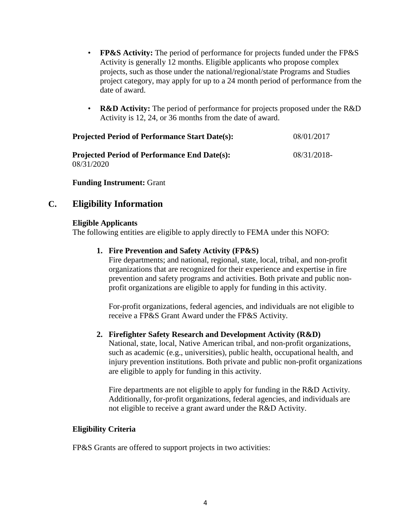- **FP&S Activity:** The period of performance for projects funded under the FP&S Activity is generally 12 months. Eligible applicants who propose complex projects, such as those under the national/regional/state Programs and Studies project category, may apply for up to a 24 month period of performance from the date of award.
- **R&D Activity:** The period of performance for projects proposed under the R&D Activity is 12, 24, or 36 months from the date of award.

| Projected Period of Performance Start Date(s):      | 08/01/2017  |
|-----------------------------------------------------|-------------|
| <b>Projected Period of Performance End Date(s):</b> | 08/31/2018- |
| 08/31/2020                                          |             |

**Funding Instrument:** Grant

# **C. Eligibility Information**

#### **Eligible Applicants**

The following entities are eligible to apply directly to FEMA under this NOFO:

#### **1. Fire Prevention and Safety Activity (FP&S)**

Fire departments; and national, regional, state, local, tribal, and non-profit organizations that are recognized for their experience and expertise in fire prevention and safety programs and activities. Both private and public nonprofit organizations are eligible to apply for funding in this activity.

For-profit organizations, federal agencies, and individuals are not eligible to receive a FP&S Grant Award under the FP&S Activity.

#### **2. Firefighter Safety Research and Development Activity (R&D)**

National, state, local, Native American tribal, and non-profit organizations, such as academic (e.g., universities), public health, occupational health, and injury prevention institutions. Both private and public non-profit organizations are eligible to apply for funding in this activity.

Fire departments are not eligible to apply for funding in the R&D Activity. Additionally, for-profit organizations, federal agencies, and individuals are not eligible to receive a grant award under the R&D Activity.

#### **Eligibility Criteria**

FP&S Grants are offered to support projects in two activities: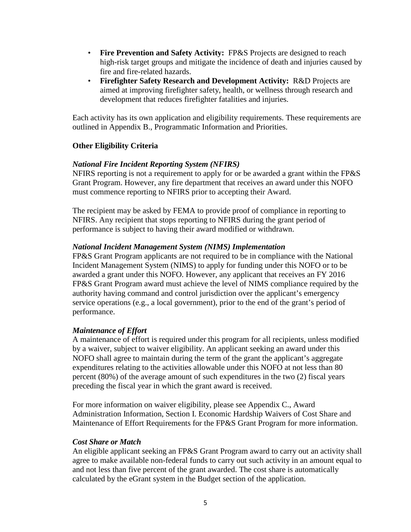- **Fire Prevention and Safety Activity:** FP&S Projects are designed to reach high-risk target groups and mitigate the incidence of death and injuries caused by fire and fire-related hazards.
- **Firefighter Safety Research and Development Activity:** R&D Projects are aimed at improving firefighter safety, health, or wellness through research and development that reduces firefighter fatalities and injuries.

Each activity has its own application and eligibility requirements. These requirements are outlined in Appendix B., Programmatic Information and Priorities.

### **Other Eligibility Criteria**

### *National Fire Incident Reporting System (NFIRS)*

NFIRS reporting is not a requirement to apply for or be awarded a grant within the FP&S Grant Program. However, any fire department that receives an award under this NOFO must commence reporting to NFIRS prior to accepting their Award.

The recipient may be asked by FEMA to provide proof of compliance in reporting to NFIRS. Any recipient that stops reporting to NFIRS during the grant period of performance is subject to having their award modified or withdrawn.

#### *National Incident Management System (NIMS) Implementation*

FP&S Grant Program applicants are not required to be in compliance with the National Incident Management System (NIMS) to apply for funding under this NOFO or to be awarded a grant under this NOFO. However, any applicant that receives an FY 2016 FP&S Grant Program award must achieve the level of NIMS compliance required by the authority having command and control jurisdiction over the applicant's emergency service operations (e.g., a local government), prior to the end of the grant's period of performance.

#### *Maintenance of Effort*

A maintenance of effort is required under this program for all recipients, unless modified by a waiver, subject to waiver eligibility. An applicant seeking an award under this NOFO shall agree to maintain during the term of the grant the applicant's aggregate expenditures relating to the activities allowable under this NOFO at not less than 80 percent (80%) of the average amount of such expenditures in the two (2) fiscal years preceding the fiscal year in which the grant award is received.

For more information on waiver eligibility, please see Appendix C., Award Administration Information, Section I. Economic Hardship Waivers of Cost Share and Maintenance of Effort Requirements for the FP&S Grant Program for more information.

#### *Cost Share or Match*

An eligible applicant seeking an FP&S Grant Program award to carry out an activity shall agree to make available non-federal funds to carry out such activity in an amount equal to and not less than five percent of the grant awarded. The cost share is automatically calculated by the eGrant system in the Budget section of the application.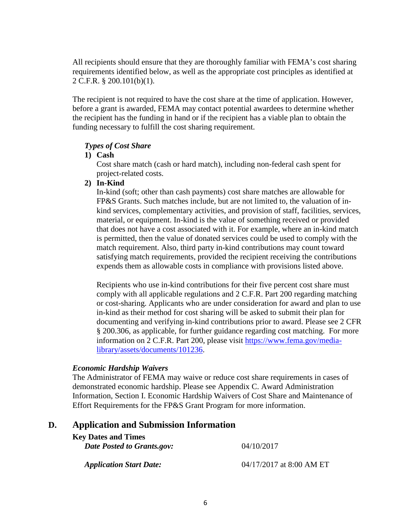All recipients should ensure that they are thoroughly familiar with FEMA's cost sharing requirements identified below, as well as the appropriate cost principles as identified at 2 C.F.R. § 200.101(b)(1).

The recipient is not required to have the cost share at the time of application. However, before a grant is awarded, FEMA may contact potential awardees to determine whether the recipient has the funding in hand or if the recipient has a viable plan to obtain the funding necessary to fulfill the cost sharing requirement.

#### *Types of Cost Share*

# **1) Cash**

Cost share match (cash or hard match), including non-federal cash spent for project-related costs.

### **2) In-Kind**

In-kind (soft; other than cash payments) cost share matches are allowable for FP&S Grants. Such matches include, but are not limited to, the valuation of inkind services, complementary activities, and provision of staff, facilities, services, material, or equipment. In-kind is the value of something received or provided that does not have a cost associated with it. For example, where an in-kind match is permitted, then the value of donated services could be used to comply with the match requirement. Also, third party in-kind contributions may count toward satisfying match requirements, provided the recipient receiving the contributions expends them as allowable costs in compliance with provisions listed above.

Recipients who use in-kind contributions for their five percent cost share must comply with all applicable regulations and 2 C.F.R. Part 200 regarding matching or cost-sharing. Applicants who are under consideration for award and plan to use in-kind as their method for cost sharing will be asked to submit their plan for documenting and verifying in-kind contributions prior to award. Please see 2 CFR § 200.306, as applicable, for further guidance regarding cost matching. For more information on 2 C.F.R. Part 200, please visit [https://www.fema.gov/media](https://www.fema.gov/media-library/assets/documents/101236)[library/assets/documents/101236.](https://www.fema.gov/media-library/assets/documents/101236)

# *Economic Hardship Waivers*

The Administrator of FEMA may waive or reduce cost share requirements in cases of demonstrated economic hardship. Please see Appendix C. Award Administration Information, Section I. Economic Hardship Waivers of Cost Share and Maintenance of Effort Requirements for the FP&S Grant Program for more information.

# **D. Application and Submission Information**

| <b>Key Dates and Times</b><br>Date Posted to Grants.gov: | 04/10/2017                 |
|----------------------------------------------------------|----------------------------|
| <b>Application Start Date:</b>                           | $04/17/2017$ at 8:00 AM ET |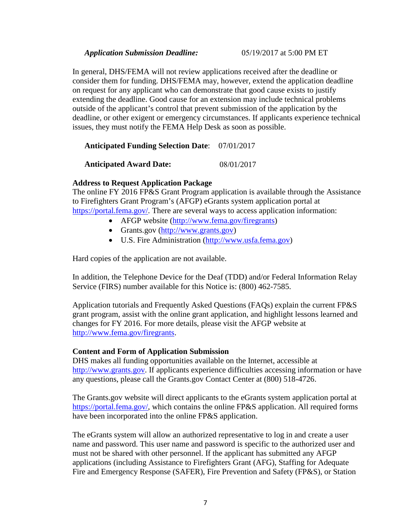In general, DHS/FEMA will not review applications received after the deadline or consider them for funding. DHS/FEMA may, however, extend the application deadline on request for any applicant who can demonstrate that good cause exists to justify extending the deadline. Good cause for an extension may include technical problems outside of the applicant's control that prevent submission of the application by the deadline, or other exigent or emergency circumstances. If applicants experience technical issues, they must notify the FEMA Help Desk as soon as possible.

|  |  |  | <b>Anticipated Funding Selection Date:</b> 07/01/2017 |
|--|--|--|-------------------------------------------------------|
|--|--|--|-------------------------------------------------------|

**Anticipated Award Date:** 08/01/2017

#### **Address to Request Application Package**

The online FY 2016 FP&S Grant Program application is available through the Assistance to Firefighters Grant Program's (AFGP) eGrants system application portal at [https://portal.fema.gov/.](https://portal.fema.gov/) There are several ways to access application information:

- AFGP website [\(http://www.fema.gov/firegrants\)](http://www.fema.gov/firegrants)
- Grants.gov [\(http://www.grants.gov\)](http://www.grants.gov/)
- U.S. Fire Administration [\(http://www.usfa.fema.gov\)](http://www.usfa.fema.gov/)

Hard copies of the application are not available.

In addition, the Telephone Device for the Deaf (TDD) and/or Federal Information Relay Service (FIRS) number available for this Notice is: (800) 462-7585.

Application tutorials and Frequently Asked Questions (FAQs) explain the current FP&S grant program, assist with the online grant application, and highlight lessons learned and changes for FY 2016. For more details, please visit the AFGP website at [http://www.fema.gov/firegrants.](http://www.fema.gov/firegrants)

#### **Content and Form of Application Submission**

DHS makes all funding opportunities available on the Internet, accessible at [http://www.grants.gov.](http://www.grants.gov/) If applicants experience difficulties accessing information or have any questions, please call the Grants.gov Contact Center at (800) 518-4726.

The Grants.gov website will direct applicants to the eGrants system application portal at [https://portal.fema.gov/,](https://portal.fema.gov/) which contains the online FP&S application. All required forms have been incorporated into the online FP&S application.

The eGrants system will allow an authorized representative to log in and create a user name and password. This user name and password is specific to the authorized user and must not be shared with other personnel. If the applicant has submitted any AFGP applications (including Assistance to Firefighters Grant (AFG), Staffing for Adequate Fire and Emergency Response (SAFER), Fire Prevention and Safety (FP&S), or Station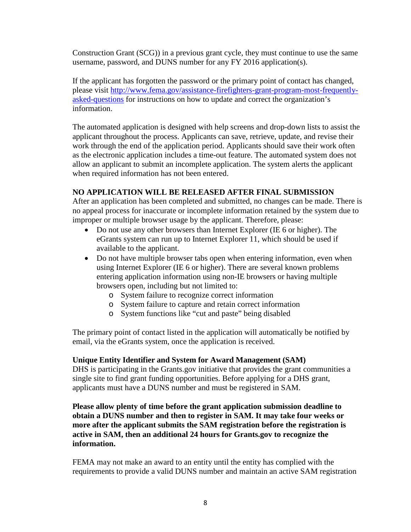Construction Grant (SCG)) in a previous grant cycle, they must continue to use the same username, password, and DUNS number for any FY 2016 application(s).

If the applicant has forgotten the password or the primary point of contact has changed, please visit [http://www.fema.gov/assistance-firefighters-grant-program-most-frequently](http://www.fema.gov/assistance-firefighters-grant-program-most-frequently-asked-questions)[asked-questions](http://www.fema.gov/assistance-firefighters-grant-program-most-frequently-asked-questions) for instructions on how to update and correct the organization's information.

The automated application is designed with help screens and drop-down lists to assist the applicant throughout the process. Applicants can save, retrieve, update, and revise their work through the end of the application period. Applicants should save their work often as the electronic application includes a time-out feature. The automated system does not allow an applicant to submit an incomplete application. The system alerts the applicant when required information has not been entered.

# **NO APPLICATION WILL BE RELEASED AFTER FINAL SUBMISSION**

After an application has been completed and submitted, no changes can be made. There is no appeal process for inaccurate or incomplete information retained by the system due to improper or multiple browser usage by the applicant. Therefore, please:

- Do not use any other browsers than Internet Explorer (IE 6 or higher). The eGrants system can run up to Internet Explorer 11, which should be used if available to the applicant.
- Do not have multiple browser tabs open when entering information, even when using Internet Explorer (IE 6 or higher). There are several known problems entering application information using non-IE browsers or having multiple browsers open, including but not limited to:
	- o System failure to recognize correct information
	- o System failure to capture and retain correct information
	- o System functions like "cut and paste" being disabled

The primary point of contact listed in the application will automatically be notified by email, via the eGrants system, once the application is received.

#### **Unique Entity Identifier and System for Award Management (SAM)**

DHS is participating in the Grants.gov initiative that provides the grant communities a single site to find grant funding opportunities. Before applying for a DHS grant, applicants must have a DUNS number and must be registered in SAM.

**Please allow plenty of time before the grant application submission deadline to obtain a DUNS number and then to register in SAM. It may take four weeks or more after the applicant submits the SAM registration before the registration is active in SAM, then an additional 24 hours for Grants.gov to recognize the information.** 

FEMA may not make an award to an entity until the entity has complied with the requirements to provide a valid DUNS number and maintain an active SAM registration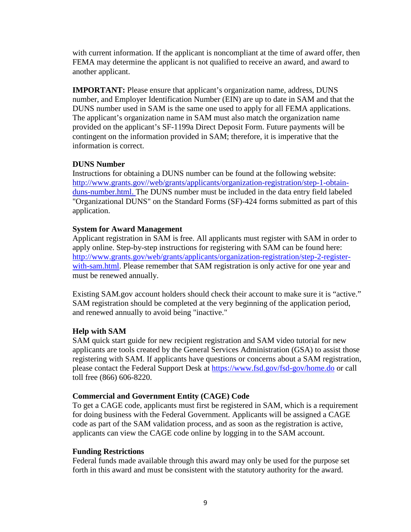with current information. If the applicant is noncompliant at the time of award offer, then FEMA may determine the applicant is not qualified to receive an award, and award to another applicant.

**IMPORTANT:** Please ensure that applicant's organization name, address, DUNS number, and Employer Identification Number (EIN) are up to date in SAM and that the DUNS number used in SAM is the same one used to apply for all FEMA applications. The applicant's organization name in SAM must also match the organization name provided on the applicant's SF-1199a Direct Deposit Form. Future payments will be contingent on the information provided in SAM; therefore, it is imperative that the information is correct.

### **DUNS Number**

Instructions for obtaining a DUNS number can be found at the following website: [http://www.grants.gov//web/grants/applicants/organization-registration/step-1-obtain](http://www.grants.gov/web/grants/applicants/organization-registration/step-1-obtain-duns-number.html)[duns-number.html.](http://www.grants.gov/web/grants/applicants/organization-registration/step-1-obtain-duns-number.html) The DUNS number must be included in the data entry field labeled "Organizational DUNS" on the Standard Forms (SF)-424 forms submitted as part of this application.

### **System for Award Management**

Applicant registration in SAM is free. All applicants must register with SAM in order to apply online. Step-by-step instructions for registering with SAM can be found here: [http://www.grants.gov/web/grants/applicants/organization-registration/step-2-register](http://www.grants.gov/web/grants/applicants/organization-registration/step-2-register-with-sam.html)[with-sam.html.](http://www.grants.gov/web/grants/applicants/organization-registration/step-2-register-with-sam.html) Please remember that SAM registration is only active for one year and must be renewed annually.

Existing SAM.gov account holders should check their account to make sure it is "active." SAM registration should be completed at the very beginning of the application period, and renewed annually to avoid being "inactive."

# **Help with SAM**

SAM quick start guide for new recipient registration and SAM video tutorial for new applicants are tools created by the General Services Administration (GSA) to assist those registering with SAM. If applicants have questions or concerns about a SAM registration, please contact the Federal Support Desk at<https://www.fsd.gov/fsd-gov/home.do> or call toll free (866) 606-8220.

#### **Commercial and Government Entity (CAGE) Code**

To get a CAGE code, applicants must first be registered in SAM, which is a requirement for doing business with the Federal Government. Applicants will be assigned a CAGE code as part of the SAM validation process, and as soon as the registration is active, applicants can view the CAGE code online by logging in to the SAM account.

#### **Funding Restrictions**

Federal funds made available through this award may only be used for the purpose set forth in this award and must be consistent with the statutory authority for the award.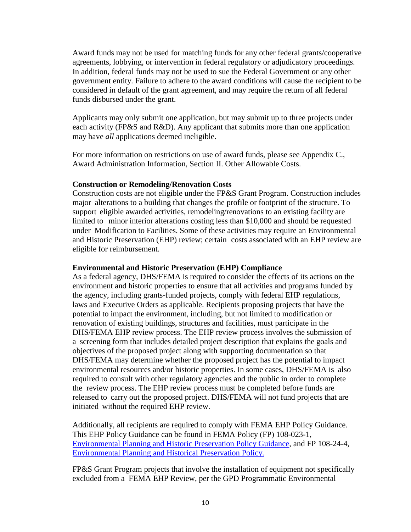Award funds may not be used for matching funds for any other federal grants/cooperative agreements, lobbying, or intervention in federal regulatory or adjudicatory proceedings. In addition, federal funds may not be used to sue the Federal Government or any other government entity. Failure to adhere to the award conditions will cause the recipient to be considered in default of the grant agreement, and may require the return of all federal funds disbursed under the grant.

Applicants may only submit one application, but may submit up to three projects under each activity (FP&S and R&D). Any applicant that submits more than one application may have *all* applications deemed ineligible.

For more information on restrictions on use of award funds, please see Appendix C., Award Administration Information, Section II. Other Allowable Costs.

### **Construction or Remodeling/Renovation Costs**

Construction costs are not eligible under the FP&S Grant Program. Construction includes major alterations to a building that changes the profile or footprint of the structure. To support eligible awarded activities, remodeling/renovations to an existing facility are limited to minor interior alterations costing less than \$10,000 and should be requested under Modification to Facilities. Some of these activities may require an Environmental and Historic Preservation (EHP) review; certain costs associated with an EHP review are eligible for reimbursement.

### **Environmental and Historic Preservation (EHP) Compliance**

As a federal agency, DHS/FEMA is required to consider the effects of its actions on the environment and historic properties to ensure that all activities and programs funded by the agency, including grants-funded projects, comply with federal EHP regulations, laws and Executive Orders as applicable. Recipients proposing projects that have the potential to impact the environment, including, but not limited to modification or renovation of existing buildings, structures and facilities, must participate in the DHS/FEMA EHP review process. The EHP review process involves the submission of a screening form that includes detailed project description that explains the goals and objectives of the proposed project along with supporting documentation so that DHS/FEMA may determine whether the proposed project has the potential to impact environmental resources and/or historic properties. In some cases, DHS/FEMA is also required to consult with other regulatory agencies and the public in order to complete the review process. The EHP review process must be completed before funds are released to carry out the proposed project. DHS/FEMA will not fund projects that are initiated without the required EHP review.

Additionally, all recipients are required to comply with FEMA EHP Policy Guidance. This EHP Policy Guidance can be found in FEMA Policy (FP) 108-023-1, [Environmental Planning and Historic Preservation](https://www.fema.gov/media-library/assets/documents/85376) Policy Guidance, and FP 108-24-4, [Environmental Planning and](http://www.fema.gov/media-library-data/1388411752234-6ddb79121951a68e9ba036d2569aa488/18Dec13-NoNEPAReview.pdf) Historical [Preservation](http://www.fema.gov/media-library-data/1388411752234-6ddb79121951a68e9ba036d2569aa488/18Dec13-NoNEPAReview.pdf) Policy.

FP&S Grant Program projects that involve the installation of equipment not specifically excluded from a FEMA EHP Review, per the GPD Programmatic Environmental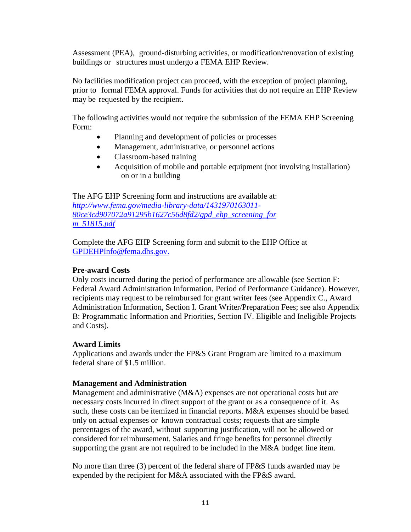Assessment (PEA), ground-disturbing activities, or modification/renovation of existing buildings or structures must undergo a FEMA EHP Review.

No facilities modification project can proceed, with the exception of project planning, prior to formal FEMA approval. Funds for activities that do not require an EHP Review may be requested by the recipient.

The following activities would not require the submission of the FEMA EHP Screening Form:

- Planning and development of policies or processes
- Management, administrative, or personnel actions
- Classroom-based training
- Acquisition of mobile and portable equipment (not involving installation) on or in a building

The AFG EHP Screening form and instructions are available at: *[http://www.fema.gov/media-library-data/1431970163011-](http://www.fema.gov/media-library-data/1431970163011-80ce3cd907072a91295b1627c56d8fd2/gpd_ehp_screening_form_51815.pdf) [80ce3cd907072a91295b1627c56d8fd2/gpd\\_ehp\\_screening\\_for](http://www.fema.gov/media-library-data/1431970163011-80ce3cd907072a91295b1627c56d8fd2/gpd_ehp_screening_form_51815.pdf) [m\\_51815.pdf](http://www.fema.gov/media-library-data/1431970163011-80ce3cd907072a91295b1627c56d8fd2/gpd_ehp_screening_form_51815.pdf)*

Complete the AFG EHP Screening form and submit to the EHP Office at [GPDEHPInfo@fema.dhs.gov.](mailto:GPDEHPInfo@fema.dhs.gov)

### **Pre-award Costs**

Only costs incurred during the period of performance are allowable (see Section F: Federal Award Administration Information, Period of Performance Guidance). However, recipients may request to be reimbursed for grant writer fees (see Appendix C., Award Administration Information, Section I. Grant Writer/Preparation Fees; see also Appendix B: Programmatic Information and Priorities, Section IV. Eligible and Ineligible Projects and Costs).

#### **Award Limits**

Applications and awards under the FP&S Grant Program are limited to a maximum federal share of \$1.5 million.

# **Management and Administration**

Management and administrative (M&A) expenses are not operational costs but are necessary costs incurred in direct support of the grant or as a consequence of it. As such, these costs can be itemized in financial reports. M&A expenses should be based only on actual expenses or known contractual costs; requests that are simple percentages of the award, without supporting justification, will not be allowed or considered for reimbursement. Salaries and fringe benefits for personnel directly supporting the grant are not required to be included in the M&A budget line item.

No more than three (3) percent of the federal share of FP&S funds awarded may be expended by the recipient for M&A associated with the FP&S award.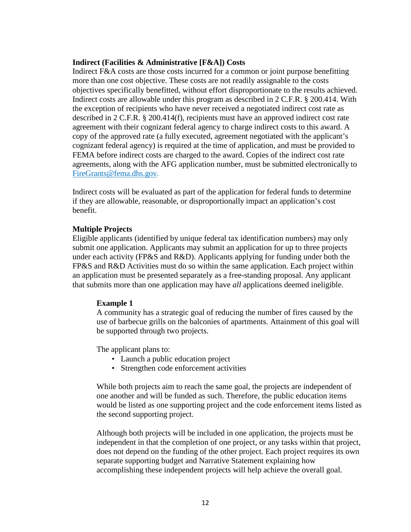#### **Indirect (Facilities & Administrative [F&A]) Costs**

Indirect F&A costs are those costs incurred for a common or joint purpose benefitting more than one cost objective. These costs are not readily assignable to the costs objectives specifically benefitted, without effort disproportionate to the results achieved. Indirect costs are allowable under this program as described in 2 C.F.R. § 200.414. With the exception of recipients who have never received a negotiated indirect cost rate as described in 2 C.F.R. § 200.414(f), recipients must have an approved indirect cost rate agreement with their cognizant federal agency to charge indirect costs to this award. A copy of the approved rate (a fully executed, agreement negotiated with the applicant's cognizant federal agency) is required at the time of application, and must be provided to FEMA before indirect costs are charged to the award. Copies of the indirect cost rate agreements, along with the AFG application number, must be submitted electronically to [FireGrants@fema.dhs.gov.](mailto:FireGrants@fema.dhs.gov)

Indirect costs will be evaluated as part of the application for federal funds to determine if they are allowable, reasonable, or disproportionally impact an application's cost benefit.

#### **Multiple Projects**

Eligible applicants (identified by unique federal tax identification numbers) may only submit one application. Applicants may submit an application for up to three projects under each activity (FP&S and R&D). Applicants applying for funding under both the FP&S and R&D Activities must do so within the same application. Each project within an application must be presented separately as a free-standing proposal. Any applicant that submits more than one application may have *all* applications deemed ineligible.

#### **Example 1**

A community has a strategic goal of reducing the number of fires caused by the use of barbecue grills on the balconies of apartments. Attainment of this goal will be supported through two projects.

The applicant plans to:

- Launch a public education project
- Strengthen code enforcement activities

While both projects aim to reach the same goal, the projects are independent of one another and will be funded as such. Therefore, the public education items would be listed as one supporting project and the code enforcement items listed as the second supporting project.

Although both projects will be included in one application, the projects must be independent in that the completion of one project, or any tasks within that project, does not depend on the funding of the other project. Each project requires its own separate supporting budget and Narrative Statement explaining how accomplishing these independent projects will help achieve the overall goal.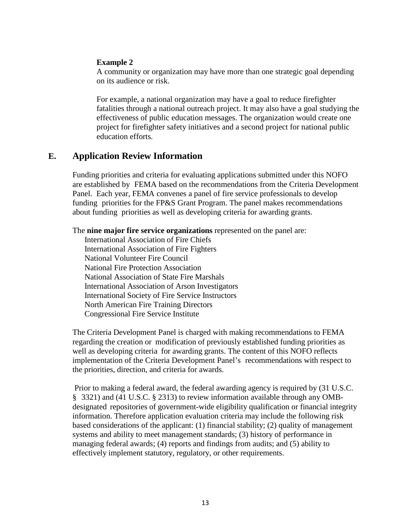#### **Example 2**

A community or organization may have more than one strategic goal depending on its audience or risk.

For example, a national organization may have a goal to reduce firefighter fatalities through a national outreach project. It may also have a goal studying the effectiveness of public education messages. The organization would create one project for firefighter safety initiatives and a second project for national public education efforts.

# **E. Application Review Information**

Funding priorities and criteria for evaluating applications submitted under this NOFO are established by FEMA based on the recommendations from the Criteria Development Panel. Each year, FEMA convenes a panel of fire service professionals to develop funding priorities for the FP&S Grant Program. The panel makes recommendations about funding priorities as well as developing criteria for awarding grants.

The **nine major fire service organizations** represented on the panel are:

International Association of Fire Chiefs International Association of Fire Fighters National Volunteer Fire Council National Fire Protection Association National Association of State Fire Marshals International Association of Arson Investigators International Society of Fire Service Instructors North American Fire Training Directors Congressional Fire Service Institute

The Criteria Development Panel is charged with making recommendations to FEMA regarding the creation or modification of previously established funding priorities as well as developing criteria for awarding grants. The content of this NOFO reflects implementation of the Criteria Development Panel's recommendations with respect to the priorities, direction, and criteria for awards.

Prior to making a federal award, the federal awarding agency is required by (31 U.S.C. § 3321) and (41 U.S.C. § 2313) to review information available through any OMBdesignated repositories of government-wide eligibility qualification or financial integrity information. Therefore application evaluation criteria may include the following risk based considerations of the applicant: (1) financial stability; (2) quality of management systems and ability to meet management standards; (3) history of performance in managing federal awards; (4) reports and findings from audits; and (5) ability to effectively implement statutory, regulatory, or other requirements.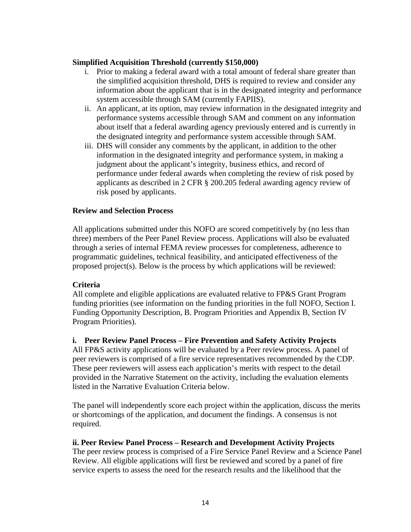### **Simplified Acquisition Threshold (currently \$150,000)**

- i. Prior to making a federal award with a total amount of federal share greater than the simplified acquisition threshold, DHS is required to review and consider any information about the applicant that is in the designated integrity and performance system accessible through SAM (currently FAPIIS).
- ii. An applicant, at its option, may review information in the designated integrity and performance systems accessible through SAM and comment on any information about itself that a federal awarding agency previously entered and is currently in the designated integrity and performance system accessible through SAM.
- iii. DHS will consider any comments by the applicant, in addition to the other information in the designated integrity and performance system, in making a judgment about the applicant's integrity, business ethics, and record of performance under federal awards when completing the review of risk posed by applicants as described in 2 CFR § 200.205 federal awarding agency review of risk posed by applicants.

### **Review and Selection Process**

All applications submitted under this NOFO are scored competitively by (no less than three) members of the Peer Panel Review process. Applications will also be evaluated through a series of internal FEMA review processes for completeness, adherence to programmatic guidelines, technical feasibility, and anticipated effectiveness of the proposed project(s). Below is the process by which applications will be reviewed:

#### **Criteria**

All complete and eligible applications are evaluated relative to FP&S Grant Program funding priorities (see information on the funding priorities in the full NOFO, Section I. Funding Opportunity Description, B. Program Priorities and Appendix B, Section IV Program Priorities).

# **i. Peer Review Panel Process – Fire Prevention and Safety Activity Projects**

All FP&S activity applications will be evaluated by a Peer review process. A panel of peer reviewers is comprised of a fire service representatives recommended by the CDP. These peer reviewers will assess each application's merits with respect to the detail provided in the Narrative Statement on the activity, including the evaluation elements listed in the Narrative Evaluation Criteria below.

The panel will independently score each project within the application, discuss the merits or shortcomings of the application, and document the findings. A consensus is not required.

#### **ii. Peer Review Panel Process – Research and Development Activity Projects**

The peer review process is comprised of a Fire Service Panel Review and a Science Panel Review. All eligible applications will first be reviewed and scored by a panel of fire service experts to assess the need for the research results and the likelihood that the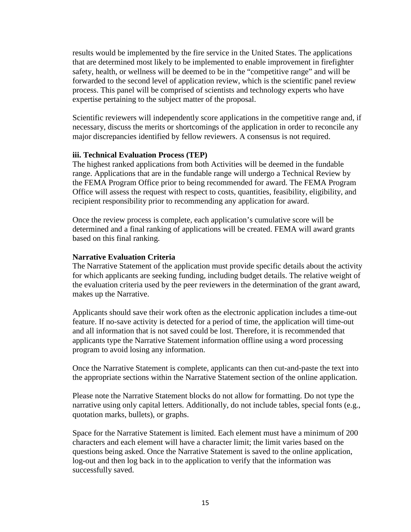results would be implemented by the fire service in the United States. The applications that are determined most likely to be implemented to enable improvement in firefighter safety, health, or wellness will be deemed to be in the "competitive range" and will be forwarded to the second level of application review, which is the scientific panel review process. This panel will be comprised of scientists and technology experts who have expertise pertaining to the subject matter of the proposal.

Scientific reviewers will independently score applications in the competitive range and, if necessary, discuss the merits or shortcomings of the application in order to reconcile any major discrepancies identified by fellow reviewers. A consensus is not required.

#### **iii. Technical Evaluation Process (TEP)**

The highest ranked applications from both Activities will be deemed in the fundable range. Applications that are in the fundable range will undergo a Technical Review by the FEMA Program Office prior to being recommended for award. The FEMA Program Office will assess the request with respect to costs, quantities, feasibility, eligibility, and recipient responsibility prior to recommending any application for award.

Once the review process is complete, each application's cumulative score will be determined and a final ranking of applications will be created. FEMA will award grants based on this final ranking.

#### **Narrative Evaluation Criteria**

The Narrative Statement of the application must provide specific details about the activity for which applicants are seeking funding, including budget details. The relative weight of the evaluation criteria used by the peer reviewers in the determination of the grant award, makes up the Narrative.

Applicants should save their work often as the electronic application includes a time-out feature. If no-save activity is detected for a period of time, the application will time-out and all information that is not saved could be lost. Therefore, it is recommended that applicants type the Narrative Statement information offline using a word processing program to avoid losing any information.

Once the Narrative Statement is complete, applicants can then cut-and-paste the text into the appropriate sections within the Narrative Statement section of the online application.

Please note the Narrative Statement blocks do not allow for formatting. Do not type the narrative using only capital letters. Additionally, do not include tables, special fonts (e.g., quotation marks, bullets), or graphs.

Space for the Narrative Statement is limited. Each element must have a minimum of 200 characters and each element will have a character limit; the limit varies based on the questions being asked. Once the Narrative Statement is saved to the online application, log-out and then log back in to the application to verify that the information was successfully saved.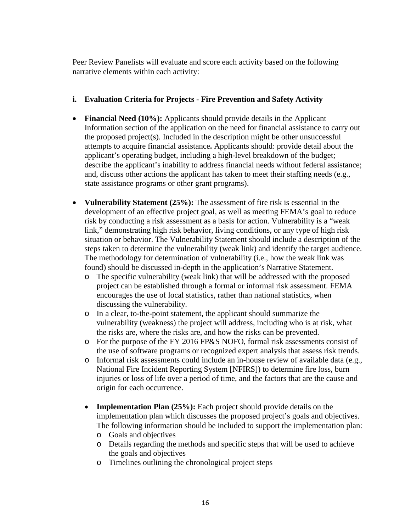Peer Review Panelists will evaluate and score each activity based on the following narrative elements within each activity:

# **i. Evaluation Criteria for Projects - Fire Prevention and Safety Activity**

- **Financial Need (10%):** Applicants should provide details in the Applicant Information section of the application on the need for financial assistance to carry out the proposed project(s). Included in the description might be other unsuccessful attempts to acquire financial assistance**.** Applicants should: provide detail about the applicant's operating budget, including a high-level breakdown of the budget; describe the applicant's inability to address financial needs without federal assistance; and, discuss other actions the applicant has taken to meet their staffing needs (e.g., state assistance programs or other grant programs).
- **Vulnerability Statement (25%):** The assessment of fire risk is essential in the development of an effective project goal, as well as meeting FEMA's goal to reduce risk by conducting a risk assessment as a basis for action. Vulnerability is a "weak link," demonstrating high risk behavior, living conditions, or any type of high risk situation or behavior. The Vulnerability Statement should include a description of the steps taken to determine the vulnerability (weak link) and identify the target audience. The methodology for determination of vulnerability (i.e., how the weak link was found) should be discussed in-depth in the application's Narrative Statement.
	- o The specific vulnerability (weak link) that will be addressed with the proposed project can be established through a formal or informal risk assessment. FEMA encourages the use of local statistics, rather than national statistics, when discussing the vulnerability.
	- o In a clear, to-the-point statement, the applicant should summarize the vulnerability (weakness) the project will address, including who is at risk, what the risks are, where the risks are, and how the risks can be prevented.
	- o For the purpose of the FY 2016 FP&S NOFO, formal risk assessments consist of the use of software programs or recognized expert analysis that assess risk trends.
	- o Informal risk assessments could include an in-house review of available data (e.g., National Fire Incident Reporting System [NFIRS]) to determine fire loss, burn injuries or loss of life over a period of time, and the factors that are the cause and origin for each occurrence.
	- **Implementation Plan (25%):** Each project should provide details on the implementation plan which discusses the proposed project's goals and objectives. The following information should be included to support the implementation plan:
		- o Goals and objectives
		- o Details regarding the methods and specific steps that will be used to achieve the goals and objectives
		- o Timelines outlining the chronological project steps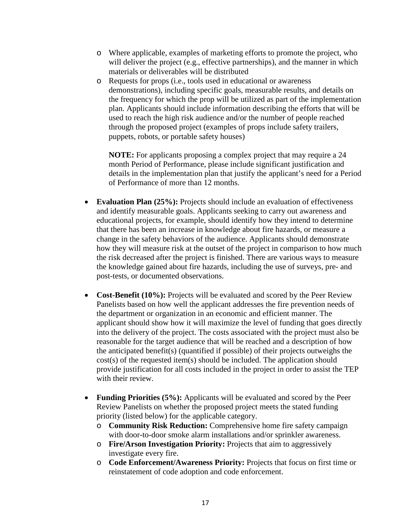- o Where applicable, examples of marketing efforts to promote the project, who will deliver the project (e.g., effective partnerships), and the manner in which materials or deliverables will be distributed
- o Requests for props (i.e., tools used in educational or awareness demonstrations), including specific goals, measurable results, and details on the frequency for which the prop will be utilized as part of the implementation plan. Applicants should include information describing the efforts that will be used to reach the high risk audience and/or the number of people reached through the proposed project (examples of props include safety trailers, puppets, robots, or portable safety houses)

**NOTE:** For applicants proposing a complex project that may require a 24 month Period of Performance, please include significant justification and details in the implementation plan that justify the applicant's need for a Period of Performance of more than 12 months.

- **Evaluation Plan (25%):** Projects should include an evaluation of effectiveness and identify measurable goals. Applicants seeking to carry out awareness and educational projects, for example, should identify how they intend to determine that there has been an increase in knowledge about fire hazards, or measure a change in the safety behaviors of the audience. Applicants should demonstrate how they will measure risk at the outset of the project in comparison to how much the risk decreased after the project is finished. There are various ways to measure the knowledge gained about fire hazards, including the use of surveys, pre- and post-tests, or documented observations.
- **Cost-Benefit (10%):** Projects will be evaluated and scored by the Peer Review Panelists based on how well the applicant addresses the fire prevention needs of the department or organization in an economic and efficient manner. The applicant should show how it will maximize the level of funding that goes directly into the delivery of the project. The costs associated with the project must also be reasonable for the target audience that will be reached and a description of how the anticipated benefit(s) (quantified if possible) of their projects outweighs the cost(s) of the requested item(s) should be included. The application should provide justification for all costs included in the project in order to assist the TEP with their review.
- **Funding Priorities (5%):** Applicants will be evaluated and scored by the Peer Review Panelists on whether the proposed project meets the stated funding priority (listed below) for the applicable category.
	- o **Community Risk Reduction:** Comprehensive home fire safety campaign with door-to-door smoke alarm installations and/or sprinkler awareness.
	- o **Fire/Arson Investigation Priority:** Projects that aim to aggressively investigate every fire.
	- o **Code Enforcement/Awareness Priority:** Projects that focus on first time or reinstatement of code adoption and code enforcement.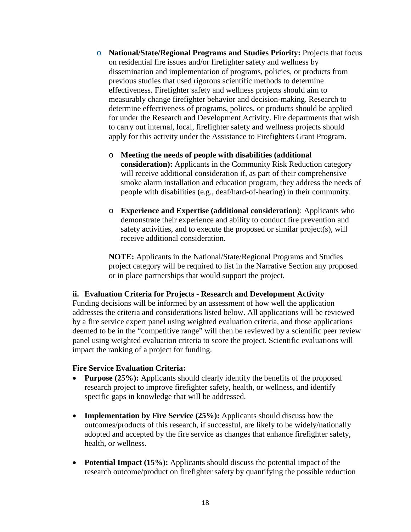- o **National/State/Regional Programs and Studies Priority:** Projects that focus on residential fire issues and/or firefighter safety and wellness by dissemination and implementation of programs, policies, or products from previous studies that used rigorous scientific methods to determine effectiveness. Firefighter safety and wellness projects should aim to measurably change firefighter behavior and decision-making. Research to determine effectiveness of programs, polices, or products should be applied for under the Research and Development Activity. Fire departments that wish to carry out internal, local, firefighter safety and wellness projects should apply for this activity under the Assistance to Firefighters Grant Program.
	- o **Meeting the needs of people with disabilities (additional consideration):** Applicants in the Community Risk Reduction category will receive additional consideration if, as part of their comprehensive smoke alarm installation and education program, they address the needs of people with disabilities (e.g., deaf/hard-of-hearing) in their community.
	- o **Experience and Expertise (additional consideration**): Applicants who demonstrate their experience and ability to conduct fire prevention and safety activities, and to execute the proposed or similar project(s), will receive additional consideration.

**NOTE:** Applicants in the National/State/Regional Programs and Studies project category will be required to list in the Narrative Section any proposed or in place partnerships that would support the project.

# **ii. Evaluation Criteria for Projects - Research and Development Activity**

Funding decisions will be informed by an assessment of how well the application addresses the criteria and considerations listed below. All applications will be reviewed by a fire service expert panel using weighted evaluation criteria, and those applications deemed to be in the "competitive range" will then be reviewed by a scientific peer review panel using weighted evaluation criteria to score the project. Scientific evaluations will impact the ranking of a project for funding.

# **Fire Service Evaluation Criteria:**

- **Purpose (25%):** Applicants should clearly identify the benefits of the proposed research project to improve firefighter safety, health, or wellness, and identify specific gaps in knowledge that will be addressed.
- **Implementation by Fire Service (25%):** Applicants should discuss how the outcomes/products of this research, if successful, are likely to be widely/nationally adopted and accepted by the fire service as changes that enhance firefighter safety, health, or wellness.
- **Potential Impact (15%):** Applicants should discuss the potential impact of the research outcome/product on firefighter safety by quantifying the possible reduction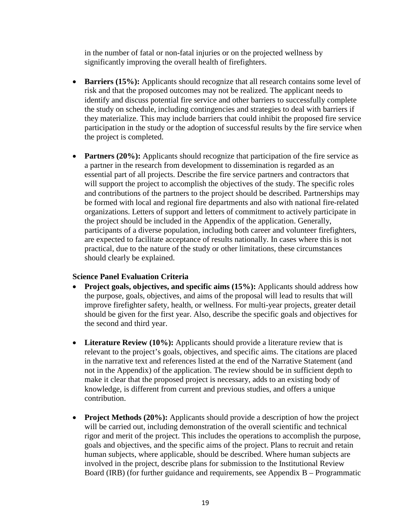in the number of fatal or non-fatal injuries or on the projected wellness by significantly improving the overall health of firefighters.

- **Barriers (15%):** Applicants should recognize that all research contains some level of risk and that the proposed outcomes may not be realized. The applicant needs to identify and discuss potential fire service and other barriers to successfully complete the study on schedule, including contingencies and strategies to deal with barriers if they materialize. This may include barriers that could inhibit the proposed fire service participation in the study or the adoption of successful results by the fire service when the project is completed.
- **Partners (20%):** Applicants should recognize that participation of the fire service as a partner in the research from development to dissemination is regarded as an essential part of all projects. Describe the fire service partners and contractors that will support the project to accomplish the objectives of the study. The specific roles and contributions of the partners to the project should be described. Partnerships may be formed with local and regional fire departments and also with national fire-related organizations. Letters of support and letters of commitment to actively participate in the project should be included in the Appendix of the application. Generally, participants of a diverse population, including both career and volunteer firefighters, are expected to facilitate acceptance of results nationally. In cases where this is not practical, due to the nature of the study or other limitations, these circumstances should clearly be explained.

# **Science Panel Evaluation Criteria**

- **Project goals, objectives, and specific aims (15%):** Applicants should address how the purpose, goals, objectives, and aims of the proposal will lead to results that will improve firefighter safety, health, or wellness. For multi-year projects, greater detail should be given for the first year. Also, describe the specific goals and objectives for the second and third year.
- Literature Review (10%): Applicants should provide a literature review that is relevant to the project's goals, objectives, and specific aims. The citations are placed in the narrative text and references listed at the end of the Narrative Statement (and not in the Appendix) of the application. The review should be in sufficient depth to make it clear that the proposed project is necessary, adds to an existing body of knowledge, is different from current and previous studies, and offers a unique contribution.
- **Project Methods (20%):** Applicants should provide a description of how the project will be carried out, including demonstration of the overall scientific and technical rigor and merit of the project. This includes the operations to accomplish the purpose, goals and objectives, and the specific aims of the project. Plans to recruit and retain human subjects, where applicable, should be described. Where human subjects are involved in the project, describe plans for submission to the Institutional Review Board (IRB) (for further guidance and requirements, see Appendix B – Programmatic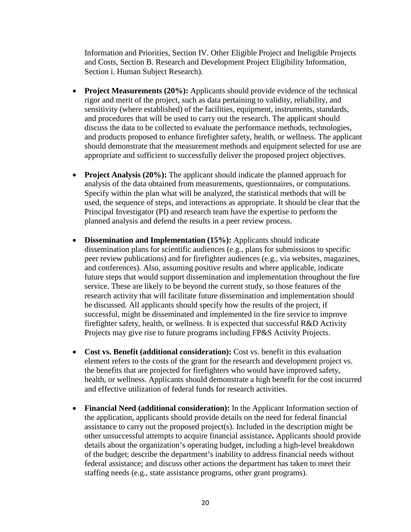Information and Priorities, Section IV. Other Eligible Project and Ineligible Projects and Costs, Section B. Research and Development Project Eligibility Information, Section i. Human Subject Research).

- **Project Measurements (20%):** Applicants should provide evidence of the technical rigor and merit of the project, such as data pertaining to validity, reliability, and sensitivity (where established) of the facilities, equipment, instruments, standards, and procedures that will be used to carry out the research. The applicant should discuss the data to be collected to evaluate the performance methods, technologies, and products proposed to enhance firefighter safety, health, or wellness. The applicant should demonstrate that the measurement methods and equipment selected for use are appropriate and sufficient to successfully deliver the proposed project objectives.
- **Project Analysis (20%):** The applicant should indicate the planned approach for analysis of the data obtained from measurements, questionnaires, or computations. Specify within the plan what will be analyzed, the statistical methods that will be used, the sequence of steps, and interactions as appropriate. It should be clear that the Principal Investigator (PI) and research team have the expertise to perform the planned analysis and defend the results in a peer review process.
- **Dissemination and Implementation (15%):** Applicants should indicate dissemination plans for scientific audiences (e.g., plans for submissions to specific peer review publications) and for firefighter audiences (e.g., via websites, magazines, and conferences). Also, assuming positive results and where applicable, indicate future steps that would support dissemination and implementation throughout the fire service. These are likely to be beyond the current study, so those features of the research activity that will facilitate future dissemination and implementation should be discussed. All applicants should specify how the results of the project, if successful, might be disseminated and implemented in the fire service to improve firefighter safety, health, or wellness. It is expected that successful R&D Activity Projects may give rise to future programs including FP&S Activity Projects.
- **Cost vs. Benefit (additional consideration):** Cost vs. benefit in this evaluation element refers to the costs of the grant for the research and development project vs. the benefits that are projected for firefighters who would have improved safety, health, or wellness. Applicants should demonstrate a high benefit for the cost incurred and effective utilization of federal funds for research activities.
- **Financial Need (additional consideration):** In the Applicant Information section of the application, applicants should provide details on the need for federal financial assistance to carry out the proposed project(s). Included in the description might be other unsuccessful attempts to acquire financial assistance**.** Applicants should provide details about the organization's operating budget, including a high-level breakdown of the budget; describe the department's inability to address financial needs without federal assistance; and discuss other actions the department has taken to meet their staffing needs (e.g., state assistance programs, other grant programs).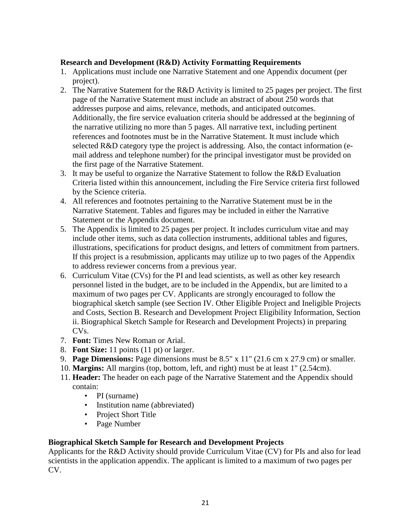### **Research and Development (R&D) Activity Formatting Requirements**

- 1. Applications must include one Narrative Statement and one Appendix document (per project).
- 2. The Narrative Statement for the R&D Activity is limited to 25 pages per project. The first page of the Narrative Statement must include an abstract of about 250 words that addresses purpose and aims, relevance, methods, and anticipated outcomes. Additionally, the fire service evaluation criteria should be addressed at the beginning of the narrative utilizing no more than 5 pages. All narrative text, including pertinent references and footnotes must be in the Narrative Statement. It must include which selected R&D category type the project is addressing. Also, the contact information (email address and telephone number) for the principal investigator must be provided on the first page of the Narrative Statement.
- 3. It may be useful to organize the Narrative Statement to follow the R&D Evaluation Criteria listed within this announcement, including the Fire Service criteria first followed by the Science criteria.
- 4. All references and footnotes pertaining to the Narrative Statement must be in the Narrative Statement. Tables and figures may be included in either the Narrative Statement or the Appendix document.
- 5. The Appendix is limited to 25 pages per project. It includes curriculum vitae and may include other items, such as data collection instruments, additional tables and figures, illustrations, specifications for product designs, and letters of commitment from partners. If this project is a resubmission, applicants may utilize up to two pages of the Appendix to address reviewer concerns from a previous year.
- 6. Curriculum Vitae (CVs) for the PI and lead scientists, as well as other key research personnel listed in the budget, are to be included in the Appendix, but are limited to a maximum of two pages per CV. Applicants are strongly encouraged to follow the biographical sketch sample (see Section IV. Other Eligible Project and Ineligible Projects and Costs, Section B. Research and Development Project Eligibility Information, Section ii. Biographical Sketch Sample for Research and Development Projects) in preparing CVs.
- 7. **Font:** Times New Roman or Arial.
- 8. **Font Size:** 11 points (11 pt) or larger.
- 9. **Page Dimensions:** Page dimensions must be 8.5" x 11" (21.6 cm x 27.9 cm) or smaller.
- 10. **Margins:** All margins (top, bottom, left, and right) must be at least 1" (2.54cm).
- 11. **Header:** The header on each page of the Narrative Statement and the Appendix should contain:
	- PI (surname)
	- Institution name (abbreviated)
	- Project Short Title
	- Page Number

# **Biographical Sketch Sample for Research and Development Projects**

Applicants for the R&D Activity should provide Curriculum Vitae (CV) for PIs and also for lead scientists in the application appendix. The applicant is limited to a maximum of two pages per CV.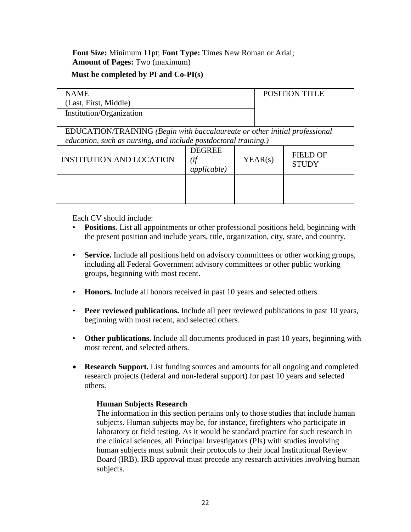**Font Size:** Minimum 11pt; **Font Type:** Times New Roman or Arial; **Amount of Pages:** Two (maximum)

# **Must be completed by PI and Co-PI(s)**

| <b>NAME</b>              | <b>POSITION TITLE</b> |
|--------------------------|-----------------------|
| (Last, First, Middle)    |                       |
| Institution/Organization |                       |

EDUCATION/TRAINING *(Begin with baccalaureate or other initial professional education, such as nursing, and include postdoctoral training.)*

| <b>INSTITUTION AND LOCATION</b> | <b>DEGREE</b><br><i>applicable</i> ) | YEAR(s) | <b>FIELD OF</b><br><b>STUDY</b> |
|---------------------------------|--------------------------------------|---------|---------------------------------|
|                                 |                                      |         |                                 |

Each CV should include:

- **Positions.** List all appointments or other professional positions held, beginning with the present position and include years, title, organization, city, state, and country.
- **Service.** Include all positions held on advisory committees or other working groups, including all Federal Government advisory committees or other public working groups, beginning with most recent.
- **Honors.** Include all honors received in past 10 years and selected others.
- **Peer reviewed publications.** Include all peer reviewed publications in past 10 years, beginning with most recent, and selected others.
- **Other publications.** Include all documents produced in past 10 years, beginning with most recent, and selected others.
- **Research Support.** List funding sources and amounts for all ongoing and completed research projects (federal and non-federal support) for past 10 years and selected others.

# **Human Subjects Research**

The information in this section pertains only to those studies that include human subjects. Human subjects may be, for instance, firefighters who participate in laboratory or field testing. As it would be standard practice for such research in the clinical sciences, all Principal Investigators (PIs) with studies involving human subjects must submit their protocols to their local Institutional Review Board (IRB). IRB approval must precede any research activities involving human subjects.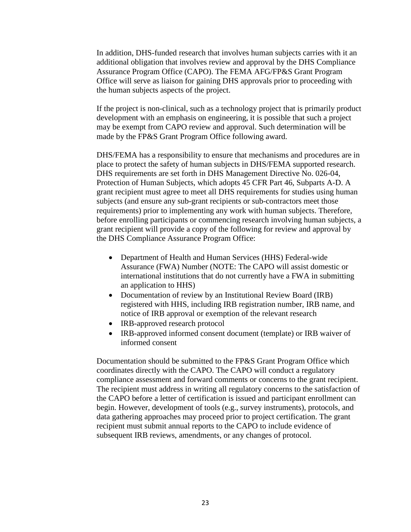In addition, DHS-funded research that involves human subjects carries with it an additional obligation that involves review and approval by the DHS Compliance Assurance Program Office (CAPO). The FEMA AFG/FP&S Grant Program Office will serve as liaison for gaining DHS approvals prior to proceeding with the human subjects aspects of the project.

If the project is non-clinical, such as a technology project that is primarily product development with an emphasis on engineering, it is possible that such a project may be exempt from CAPO review and approval. Such determination will be made by the FP&S Grant Program Office following award.

DHS/FEMA has a responsibility to ensure that mechanisms and procedures are in place to protect the safety of human subjects in DHS/FEMA supported research. DHS requirements are set forth in DHS Management Directive No. 026-04, Protection of Human Subjects, which adopts 45 CFR Part 46, Subparts A-D. A grant recipient must agree to meet all DHS requirements for studies using human subjects (and ensure any sub-grant recipients or sub-contractors meet those requirements) prior to implementing any work with human subjects. Therefore, before enrolling participants or commencing research involving human subjects, a grant recipient will provide a copy of the following for review and approval by the DHS Compliance Assurance Program Office:

- Department of Health and Human Services (HHS) Federal-wide Assurance (FWA) Number (NOTE: The CAPO will assist domestic or international institutions that do not currently have a FWA in submitting an application to HHS)
- Documentation of review by an Institutional Review Board (IRB) registered with HHS, including IRB registration number, IRB name, and notice of IRB approval or exemption of the relevant research
- IRB-approved research protocol
- IRB-approved informed consent document (template) or IRB waiver of informed consent

Documentation should be submitted to the FP&S Grant Program Office which coordinates directly with the CAPO. The CAPO will conduct a regulatory compliance assessment and forward comments or concerns to the grant recipient. The recipient must address in writing all regulatory concerns to the satisfaction of the CAPO before a letter of certification is issued and participant enrollment can begin. However, development of tools (e.g., survey instruments), protocols, and data gathering approaches may proceed prior to project certification. The grant recipient must submit annual reports to the CAPO to include evidence of subsequent IRB reviews, amendments, or any changes of protocol.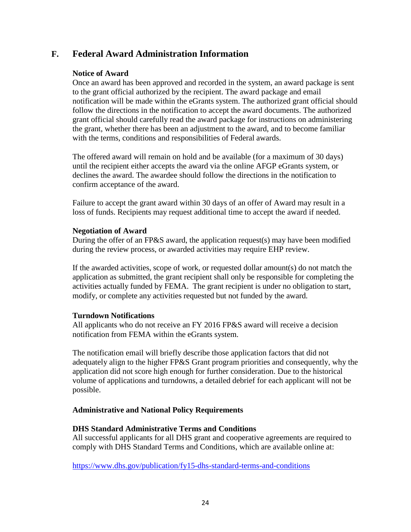# **F. Federal Award Administration Information**

### **Notice of Award**

Once an award has been approved and recorded in the system, an award package is sent to the grant official authorized by the recipient. The award package and email notification will be made within the eGrants system. The authorized grant official should follow the directions in the notification to accept the award documents. The authorized grant official should carefully read the award package for instructions on administering the grant, whether there has been an adjustment to the award, and to become familiar with the terms, conditions and responsibilities of Federal awards.

The offered award will remain on hold and be available (for a maximum of 30 days) until the recipient either accepts the award via the online AFGP eGrants system, or declines the award. The awardee should follow the directions in the notification to confirm acceptance of the award.

Failure to accept the grant award within 30 days of an offer of Award may result in a loss of funds. Recipients may request additional time to accept the award if needed.

#### **Negotiation of Award**

During the offer of an FP&S award, the application request(s) may have been modified during the review process, or awarded activities may require EHP review.

If the awarded activities, scope of work, or requested dollar amount(s) do not match the application as submitted, the grant recipient shall only be responsible for completing the activities actually funded by FEMA. The grant recipient is under no obligation to start, modify, or complete any activities requested but not funded by the award.

#### **Turndown Notifications**

All applicants who do not receive an FY 2016 FP&S award will receive a decision notification from FEMA within the eGrants system.

The notification email will briefly describe those application factors that did not adequately align to the higher FP&S Grant program priorities and consequently, why the application did not score high enough for further consideration. Due to the historical volume of applications and turndowns, a detailed debrief for each applicant will not be possible.

#### **Administrative and National Policy Requirements**

#### **DHS Standard Administrative Terms and Conditions**

All successful applicants for all DHS grant and cooperative agreements are required to comply with DHS Standard Terms and Conditions, which are available online at:

<https://www.dhs.gov/publication/fy15-dhs-standard-terms-and-conditions>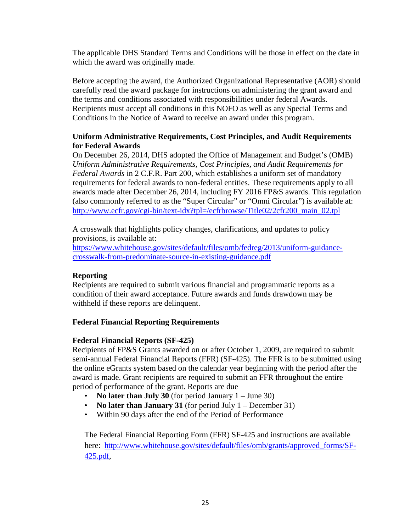The applicable DHS Standard Terms and Conditions will be those in effect on the date in which the award was originally made.

Before accepting the award, the Authorized Organizational Representative (AOR) should carefully read the award package for instructions on administering the grant award and the terms and conditions associated with responsibilities under federal Awards. Recipients must accept all conditions in this NOFO as well as any Special Terms and Conditions in the Notice of Award to receive an award under this program.

# **Uniform Administrative Requirements, Cost Principles, and Audit Requirements for Federal Awards**

On December 26, 2014, DHS adopted the Office of Management and Budget's (OMB) *Uniform Administrative Requirements, Cost Principles, and Audit Requirements for Federal Awards* in 2 C.F.R. Part 200, which establishes a uniform set of mandatory requirements for federal awards to non-federal entities. These requirements apply to all awards made after December 26, 2014, including FY 2016 FP&S awards. This regulation (also commonly referred to as the "Super Circular" or "Omni Circular") is available at: [http://www.ecfr.gov/cgi-bin/text-idx?tpl=/ecfrbrowse/Title02/2cfr200\\_main\\_02.tpl](http://www.ecfr.gov/cgi-bin/text-idx?tpl=/ecfrbrowse/Title02/2cfr200_main_02.tpl)

A crosswalk that highlights policy changes, clarifications, and updates to policy provisions, is available at:

[https://www.whitehouse.gov/sites/default/files/omb/fedreg/2013/uniform-guidance](https://www.whitehouse.gov/sites/default/files/omb/fedreg/2013/uniform-guidance-crosswalk-from-predominate-source-in-existing-guidance.pdf)[crosswalk-from-predominate-source-in-existing-guidance.pdf](https://www.whitehouse.gov/sites/default/files/omb/fedreg/2013/uniform-guidance-crosswalk-from-predominate-source-in-existing-guidance.pdf)

# **Reporting**

Recipients are required to submit various financial and programmatic reports as a condition of their award acceptance. Future awards and funds drawdown may be withheld if these reports are delinquent.

# **Federal Financial Reporting Requirements**

#### **Federal Financial Reports (SF-425)**

Recipients of FP&S Grants awarded on or after October 1, 2009, are required to submit semi-annual Federal Financial Reports (FFR) (SF-425). The FFR is to be submitted using the online eGrants system based on the calendar year beginning with the period after the award is made. Grant recipients are required to submit an FFR throughout the entire period of performance of the grant. Reports are due

- **No later than July 30** (for period January 1 June 30)
- **No later than January 31** (for period July 1 December 31)
- Within 90 days after the end of the Period of Performance

The Federal Financial Reporting Form (FFR) SF-425 and instructions are available here: [http://www.whitehouse.gov/sites/default/files/omb/grants/approved\\_forms/SF-](http://www.whitehouse.gov/sites/default/files/omb/grants/approved_forms/SF-425.pdf)[425.pdf,](http://www.whitehouse.gov/sites/default/files/omb/grants/approved_forms/SF-425.pdf)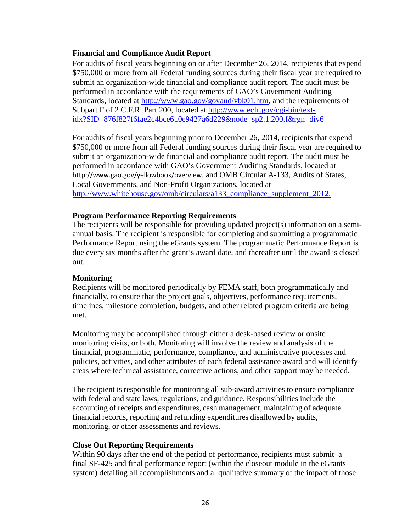### **Financial and Compliance Audit Report**

For audits of fiscal years beginning on or after December 26, 2014, recipients that expend \$750,000 or more from all Federal funding sources during their fiscal year are required to submit an organization-wide financial and compliance audit report. The audit must be performed in accordance with the requirements of GAO's Government Auditing Standards, located at [http://www.gao.gov/govaud/ybk01.htm,](http://www.gao.gov/govaud/ybk01.htm) and the requirements of Subpart F of 2 C.F.R. Part 200, located at [http://www.ecfr.gov/cgi-bin/text](http://www.ecfr.gov/cgi-bin/text-idx?SID=876f827f6fae2c4bce610e9427a6d229&node=sp2.1.200.f&rgn=div6)[idx?SID=876f827f6fae2c4bce610e9427a6d229&node=sp2.1.200.f&rgn=div6](http://www.ecfr.gov/cgi-bin/text-idx?SID=876f827f6fae2c4bce610e9427a6d229&node=sp2.1.200.f&rgn=div6)

For audits of fiscal years beginning prior to December 26, 2014, recipients that expend \$750,000 or more from all Federal funding sources during their fiscal year are required to submit an organization-wide financial and compliance audit report. The audit must be performed in accordance with GAO's Government Auditing Standards, located at http://www.gao.gov/yellowbook/overview, and OMB Circular A-133, Audits of States, Local Governments, and Non-Profit Organizations, located at [http://www.whitehouse.gov/omb/circulars/a133\\_compliance\\_supplement\\_2012.](http://www.whitehouse.gov/omb/circulars/a133_compliance_supplement_2012)

#### **Program Performance Reporting Requirements**

The recipients will be responsible for providing updated project(s) information on a semiannual basis. The recipient is responsible for completing and submitting a programmatic Performance Report using the eGrants system. The programmatic Performance Report is due every six months after the grant's award date, and thereafter until the award is closed out.

#### **Monitoring**

Recipients will be monitored periodically by FEMA staff, both programmatically and financially, to ensure that the project goals, objectives, performance requirements, timelines, milestone completion, budgets, and other related program criteria are being met.

Monitoring may be accomplished through either a desk-based review or onsite monitoring visits, or both. Monitoring will involve the review and analysis of the financial, programmatic, performance, compliance, and administrative processes and policies, activities, and other attributes of each federal assistance award and will identify areas where technical assistance, corrective actions, and other support may be needed.

The recipient is responsible for monitoring all sub-award activities to ensure compliance with federal and state laws, regulations, and guidance. Responsibilities include the accounting of receipts and expenditures, cash management, maintaining of adequate financial records, reporting and refunding expenditures disallowed by audits, monitoring, or other assessments and reviews.

#### **Close Out Reporting Requirements**

Within 90 days after the end of the period of performance, recipients must submit a final SF-425 and final performance report (within the closeout module in the eGrants system) detailing all accomplishments and a qualitative summary of the impact of those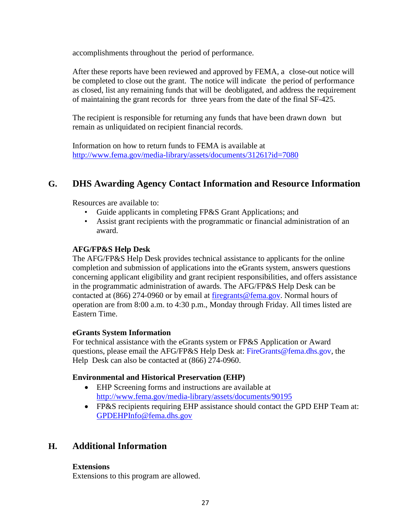accomplishments throughout the period of performance.

After these reports have been reviewed and approved by FEMA*,* a close-out notice will be completed to close out the grant. The notice will indicate the period of performance as closed, list any remaining funds that will be deobligated, and address the requirement of maintaining the grant records for three years from the date of the final SF-425.

The recipient is responsible for returning any funds that have been drawn down but remain as unliquidated on recipient financial records.

Information on how to return funds to FEMA is available at <http://www.fema.gov/media-library/assets/documents/31261?id=7080>

# **G. DHS Awarding Agency Contact Information and Resource Information**

Resources are available to:

- Guide applicants in completing FP&S Grant Applications; and
- Assist grant recipients with the programmatic or financial administration of an award.

# **AFG/FP&S Help Desk**

The AFG/FP&S Help Desk provides technical assistance to applicants for the online completion and submission of applications into the eGrants system, answers questions concerning applicant eligibility and grant recipient responsibilities, and offers assistance in the programmatic administration of awards. The AFG/FP&S Help Desk can be contacted at (866) 274-0960 or by email at [firegrants@fema.gov.](mailto:firegrants@fema.gov) Normal hours of operation are from 8:00 a.m. to 4:30 p.m., Monday through Friday. All times listed are Eastern Time.

#### **eGrants System Information**

For technical assistance with the eGrants system or FP&S Application or Award questions, please email the AFG/FP&S Help Desk at: [FireGrants@fema.dhs.gov,](mailto:firegrants@fema.dhs.gov) the Help Desk can also be contacted at (866) 274-0960.

#### **Environmental and Historical Preservation (EHP)**

- EHP Screening forms and instructions are available at <http://www.fema.gov/media-library/assets/documents/90195>
- FP&S recipients requiring EHP assistance should contact the GPD EHP Team at: [GPDEHPInfo@fema.dhs.gov](mailto:GPDEHPInfo@fema.dhs.gov)

# **H. Additional Information**

#### **Extensions**

Extensions to this program are allowed.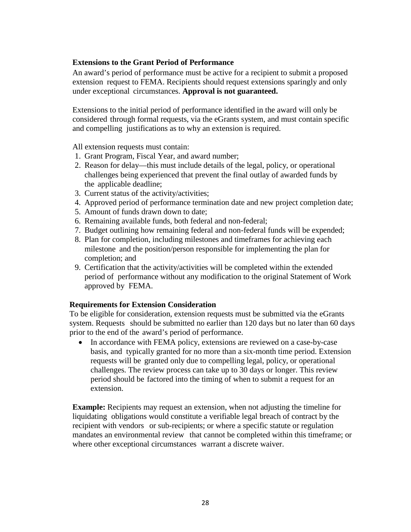### **Extensions to the Grant Period of Performance**

An award's period of performance must be active for a recipient to submit a proposed extension request to FEMA. Recipients should request extensions sparingly and only under exceptional circumstances. **Approval is not guaranteed.**

Extensions to the initial period of performance identified in the award will only be considered through formal requests, via the eGrants system, and must contain specific and compelling justifications as to why an extension is required.

All extension requests must contain:

- 1. Grant Program, Fiscal Year, and award number;
- 2. Reason for delay—this must include details of the legal, policy, or operational challenges being experienced that prevent the final outlay of awarded funds by the applicable deadline;
- 3. Current status of the activity/activities;
- 4. Approved period of performance termination date and new project completion date;
- 5. Amount of funds drawn down to date;
- 6. Remaining available funds, both federal and non-federal;
- 7. Budget outlining how remaining federal and non-federal funds will be expended;
- 8. Plan for completion, including milestones and timeframes for achieving each milestone and the position/person responsible for implementing the plan for completion; and
- 9. Certification that the activity/activities will be completed within the extended period of performance without any modification to the original Statement of Work approved by FEMA.

#### **Requirements for Extension Consideration**

To be eligible for consideration, extension requests must be submitted via the eGrants system. Requests should be submitted no earlier than 120 days but no later than 60 days prior to the end of the award's period of performance.

• In accordance with FEMA policy, extensions are reviewed on a case-by-case basis, and typically granted for no more than a six-month time period. Extension requests will be granted only due to compelling legal, policy, or operational challenges. The review process can take up to 30 days or longer. This review period should be factored into the timing of when to submit a request for an extension.

**Example:** Recipients may request an extension, when not adjusting the timeline for liquidating obligations would constitute a verifiable legal breach of contract by the recipient with vendors or sub-recipients; or where a specific statute or regulation mandates an environmental review that cannot be completed within this timeframe; or where other exceptional circumstances warrant a discrete waiver.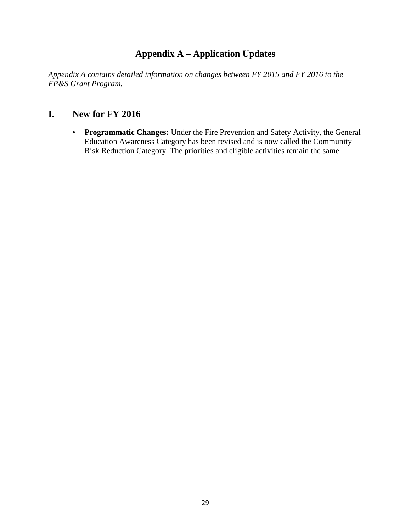# **Appendix A – Application Updates**

*Appendix A contains detailed information on changes between FY 2015 and FY 2016 to the FP&S Grant Program.* 

# **I. New for FY 2016**

• **Programmatic Changes:** Under the Fire Prevention and Safety Activity, the General Education Awareness Category has been revised and is now called the Community Risk Reduction Category. The priorities and eligible activities remain the same.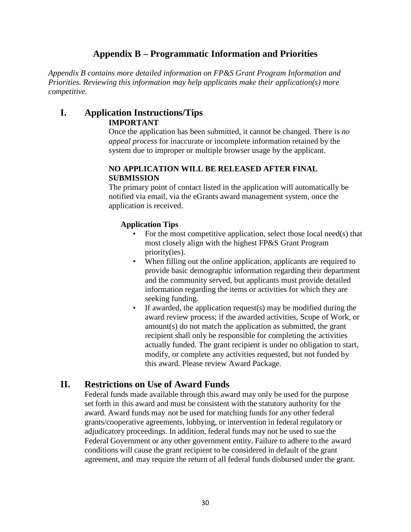# **Appendix B – Programmatic Information and Priorities**

*Appendix B contains more detailed information on FP&S Grant Program Information and Priorities. Reviewing this information may help applicants make their application(s) more competitive.*

# **I. Application Instructions/Tips IMPORTANT**

Once the application has been submitted, it cannot be changed. There is *no appeal process* for inaccurate or incomplete information retained by the system due to improper or multiple browser usage by the applicant.

### **NO APPLICATION WILL BE RELEASED AFTER FINAL SUBMISSION**

The primary point of contact listed in the application will automatically be notified via email, via the eGrants award management system, once the application is received.

# **Application Tips**

- For the most competitive application, select those local need(s) that most closely align with the highest FP&S Grant Program priority(ies).
- When filling out the online application, applicants are required to provide basic demographic information regarding their department and the community served, but applicants must provide detailed information regarding the items or activities for which they are seeking funding.
- If awarded, the application request(s) may be modified during the award review process; if the awarded activities, Scope of Work, or amount(s) do not match the application as submitted, the grant recipient shall only be responsible for completing the activities actually funded. The grant recipient is under no obligation to start, modify, or complete any activities requested, but not funded by this award. Please review Award Package.

# **II. Restrictions on Use of Award Funds**

Federal funds made available through this award may only be used for the purpose set forth in this award and must be consistent with the statutory authority for the award. Award funds may not be used for matching funds for any other federal grants/cooperative agreements, lobbying, or intervention in federal regulatory or adjudicatory proceedings. In addition, federal funds may not be used to sue the Federal Government or any other government entity. Failure to adhere to the award conditions will cause the grant recipient to be considered in default of the grant agreement, and may require the return of all federal funds disbursed under the grant.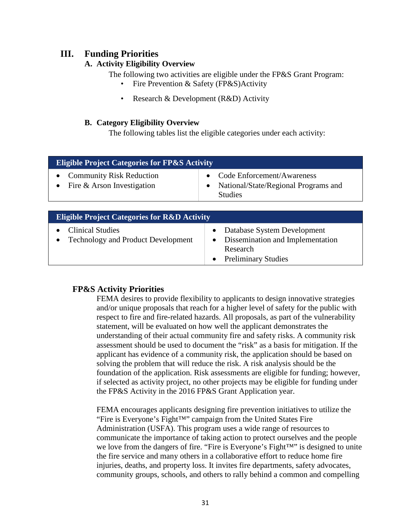# **III. Funding Priorities**

# **A. Activity Eligibility Overview**

The following two activities are eligible under the FP&S Grant Program:

- Fire Prevention & Safety (FP&S)Activity
- Research & Development (R&D) Activity

# **B. Category Eligibility Overview**

The following tables list the eligible categories under each activity:

| <b>Eligible Project Categories for FP&amp;S Activity</b>      |                                                                                          |  |
|---------------------------------------------------------------|------------------------------------------------------------------------------------------|--|
| <b>Community Risk Reduction</b><br>Fire & Arson Investigation | • Code Enforcement/Awareness<br>• National/State/Regional Programs and<br><b>Studies</b> |  |

| <b>Eligible Project Categories for R&amp;D Activity</b>              |                                                                                                             |  |
|----------------------------------------------------------------------|-------------------------------------------------------------------------------------------------------------|--|
| <b>Clinical Studies</b><br><b>Technology and Product Development</b> | Database System Development<br>• Dissemination and Implementation<br>Research<br><b>Preliminary Studies</b> |  |

# **FP&S Activity Priorities**

FEMA desires to provide flexibility to applicants to design innovative strategies and/or unique proposals that reach for a higher level of safety for the public with respect to fire and fire-related hazards. All proposals, as part of the vulnerability statement, will be evaluated on how well the applicant demonstrates the understanding of their actual community fire and safety risks. A community risk assessment should be used to document the "risk" as a basis for mitigation. If the applicant has evidence of a community risk, the application should be based on solving the problem that will reduce the risk. A risk analysis should be the foundation of the application. Risk assessments are eligible for funding; however, if selected as activity project, no other projects may be eligible for funding under the FP&S Activity in the 2016 FP&S Grant Application year.

FEMA encourages applicants designing fire prevention initiatives to utilize the "Fire is Everyone's Fight™" campaign from the United States Fire Administration (USFA). This program uses a wide range of resources to communicate the importance of taking action to protect ourselves and the people we love from the dangers of fire. "Fire is Everyone's Fight™" is designed to unite the fire service and many others in a collaborative effort to reduce home fire injuries, deaths, and property loss. It invites fire departments, safety advocates, community groups, schools, and others to rally behind a common and compelling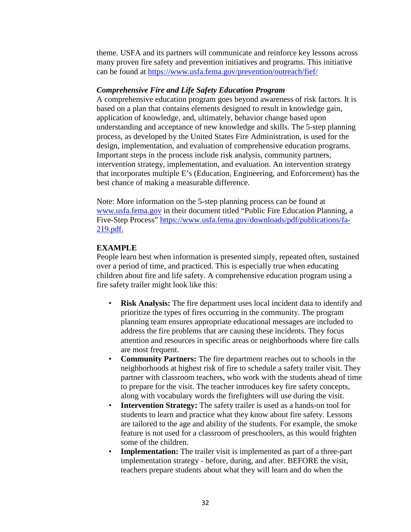theme. USFA and its partners will communicate and reinforce key lessons across many proven fire safety and prevention initiatives and programs. This initiative can be found at<https://www.usfa.fema.gov/prevention/outreach/fief/>

### *Comprehensive Fire and Life Safety Education Program*

A comprehensive education program goes beyond awareness of risk factors. It is based on a plan that contains elements designed to result in knowledge gain, application of knowledge, and, ultimately, behavior change based upon understanding and acceptance of new knowledge and skills. The 5-step planning process, as developed by the United States Fire Administration, is used for the design, implementation, and evaluation of comprehensive education programs. Important steps in the process include risk analysis, community partners, intervention strategy, implementation, and evaluation. An intervention strategy that incorporates multiple E's (Education, Engineering, and Enforcement) has the best chance of making a measurable difference.

Note: More information on the 5-step planning process can be found at [www.usfa.fema.gov](http://www.usfa.fema.gov/) in their document titled "Public Fire Education Planning, a Five-Step Process" [https://www.usfa.fema.gov/downloads/pdf/publications/fa-](https://www.usfa.fema.gov/downloads/pdf/publications/fa-219.pdf)[219.pdf.](https://www.usfa.fema.gov/downloads/pdf/publications/fa-219.pdf)

# **EXAMPLE**

People learn best when information is presented simply, repeated often, sustained over a period of time, and practiced. This is especially true when educating children about fire and life safety. A comprehensive education program using a fire safety trailer might look like this:

- **Risk Analysis:** The fire department uses local incident data to identify and prioritize the types of fires occurring in the community. The program planning team ensures appropriate educational messages are included to address the fire problems that are causing these incidents. They focus attention and resources in specific areas or neighborhoods where fire calls are most frequent.
- **Community Partners:** The fire department reaches out to schools in the neighborhoods at highest risk of fire to schedule a safety trailer visit. They partner with classroom teachers, who work with the students ahead of time to prepare for the visit. The teacher introduces key fire safety concepts, along with vocabulary words the firefighters will use during the visit.
- **Intervention Strategy:** The safety trailer is used as a hands-on tool for students to learn and practice what they know about fire safety. Lessons are tailored to the age and ability of the students. For example, the smoke feature is not used for a classroom of preschoolers, as this would frighten some of the children.
- **Implementation:** The trailer visit is implemented as part of a three-part implementation strategy - before, during, and after. BEFORE the visit, teachers prepare students about what they will learn and do when the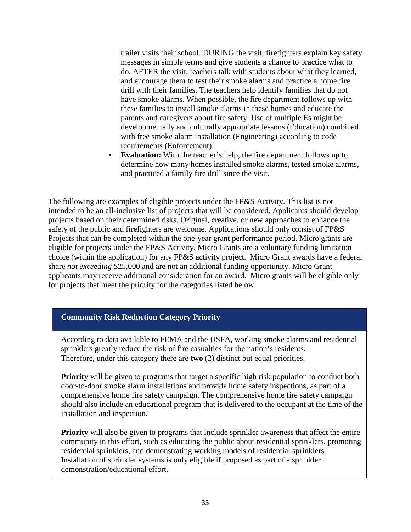trailer visits their school. DURING the visit, firefighters explain key safety messages in simple terms and give students a chance to practice what to do. AFTER the visit, teachers talk with students about what they learned, and encourage them to test their smoke alarms and practice a home fire drill with their families. The teachers help identify families that do not have smoke alarms. When possible, the fire department follows up with these families to install smoke alarms in these homes and educate the parents and caregivers about fire safety. Use of multiple Es might be developmentally and culturally appropriate lessons (Education) combined with free smoke alarm installation (Engineering) according to code requirements (Enforcement).

**Evaluation:** With the teacher's help, the fire department follows up to determine how many homes installed smoke alarms, tested smoke alarms, and practiced a family fire drill since the visit.

The following are examples of eligible projects under the FP&S Activity. This list is not intended to be an all-inclusive list of projects that will be considered. Applicants should develop projects based on their determined risks. Original, creative, or new approaches to enhance the safety of the public and firefighters are welcome. Applications should only consist of FP&S Projects that can be completed within the one-year grant performance period. Micro grants are eligible for projects under the FP&S Activity. Micro Grants are a voluntary funding limitation choice (within the application) for any FP&S activity project. Micro Grant awards have a federal share *not exceeding* \$25,000 and are not an additional funding opportunity. Micro Grant applicants may receive additional consideration for an award. Micro grants will be eligible only for projects that meet the priority for the categories listed below.

# **Community Risk Reduction Category Priority**

According to data available to FEMA and the USFA, working smoke alarms and residential sprinklers greatly reduce the risk of fire casualties for the nation's residents. Therefore, under this category there are **two** (2) distinct but equal priorities.

**Priority** will be given to programs that target a specific high risk population to conduct both door-to-door smoke alarm installations and provide home safety inspections, as part of a comprehensive home fire safety campaign. The comprehensive home fire safety campaign should also include an educational program that is delivered to the occupant at the time of the installation and inspection.

**Priority** will also be given to programs that include sprinkler awareness that affect the entire community in this effort, such as educating the public about residential sprinklers, promoting residential sprinklers, and demonstrating working models of residential sprinklers. Installation of sprinkler systems is only eligible if proposed as part of a sprinkler demonstration/educational effort.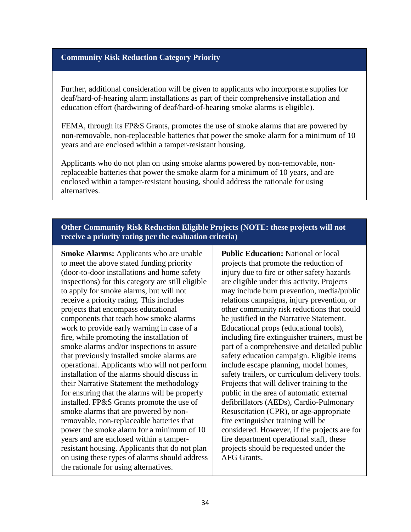#### **Community Risk Reduction Category Priority**

Further, additional consideration will be given to applicants who incorporate supplies for deaf/hard-of-hearing alarm installations as part of their comprehensive installation and education effort (hardwiring of deaf/hard-of-hearing smoke alarms is eligible).

FEMA, through its FP&S Grants, promotes the use of smoke alarms that are powered by non-removable, non-replaceable batteries that power the smoke alarm for a minimum of 10 years and are enclosed within a tamper-resistant housing.

Applicants who do not plan on using smoke alarms powered by non-removable, nonreplaceable batteries that power the smoke alarm for a minimum of 10 years, and are enclosed within a tamper-resistant housing, should address the rationale for using alternatives.

# **Other Community Risk Reduction Eligible Projects (NOTE: these projects will not receive a priority rating per the evaluation criteria)**

**Smoke Alarms:** Applicants who are unable to meet the above stated funding priority (door-to-door installations and home safety inspections) for this category are still eligible to apply for smoke alarms, but will not receive a priority rating. This includes projects that encompass educational components that teach how smoke alarms work to provide early warning in case of a fire, while promoting the installation of smoke alarms and/or inspections to assure that previously installed smoke alarms are operational. Applicants who will not perform installation of the alarms should discuss in their Narrative Statement the methodology for ensuring that the alarms will be properly installed. FP&S Grants promote the use of smoke alarms that are powered by nonremovable, non-replaceable batteries that power the smoke alarm for a minimum of 10 years and are enclosed within a tamperresistant housing. Applicants that do not plan on using these types of alarms should address the rationale for using alternatives.

**Public Education:** National or local projects that promote the reduction of injury due to fire or other safety hazards are eligible under this activity. Projects may include burn prevention, media/public relations campaigns, injury prevention, or other community risk reductions that could be justified in the Narrative Statement. Educational props (educational tools), including fire extinguisher trainers, must be part of a comprehensive and detailed public safety education campaign. Eligible items include escape planning, model homes, safety trailers, or curriculum delivery tools. Projects that will deliver training to the public in the area of automatic external defibrillators (AEDs), Cardio-Pulmonary Resuscitation (CPR), or age-appropriate fire extinguisher training will be considered. However, if the projects are for fire department operational staff, these projects should be requested under the AFG Grants.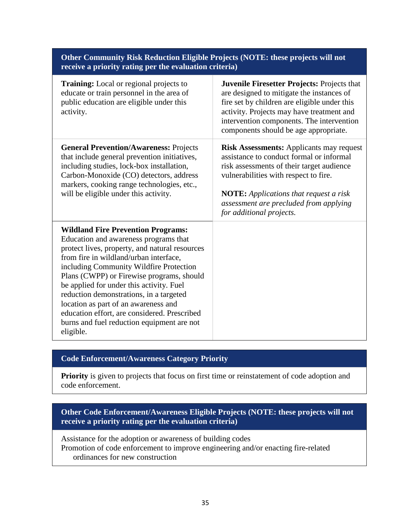| Other Community Risk Reduction Eligible Projects (NOTE: these projects will not<br>receive a priority rating per the evaluation criteria)                                                                                                                                                                                                                                                                                                                                                                        |                                                                                                                                                                                                                                                                                                          |  |
|------------------------------------------------------------------------------------------------------------------------------------------------------------------------------------------------------------------------------------------------------------------------------------------------------------------------------------------------------------------------------------------------------------------------------------------------------------------------------------------------------------------|----------------------------------------------------------------------------------------------------------------------------------------------------------------------------------------------------------------------------------------------------------------------------------------------------------|--|
| Training: Local or regional projects to<br>educate or train personnel in the area of<br>public education are eligible under this<br>activity.                                                                                                                                                                                                                                                                                                                                                                    | Juvenile Firesetter Projects: Projects that<br>are designed to mitigate the instances of<br>fire set by children are eligible under this<br>activity. Projects may have treatment and<br>intervention components. The intervention<br>components should be age appropriate.                              |  |
| <b>General Prevention/Awareness: Projects</b><br>that include general prevention initiatives,<br>including studies, lock-box installation,<br>Carbon-Monoxide (CO) detectors, address<br>markers, cooking range technologies, etc.,<br>will be eligible under this activity.                                                                                                                                                                                                                                     | <b>Risk Assessments: Applicants may request</b><br>assistance to conduct formal or informal<br>risk assessments of their target audience<br>vulnerabilities with respect to fire.<br><b>NOTE:</b> Applications that request a risk<br>assessment are precluded from applying<br>for additional projects. |  |
| <b>Wildland Fire Prevention Programs:</b><br>Education and awareness programs that<br>protect lives, property, and natural resources<br>from fire in wildland/urban interface,<br>including Community Wildfire Protection<br>Plans (CWPP) or Firewise programs, should<br>be applied for under this activity. Fuel<br>reduction demonstrations, in a targeted<br>location as part of an awareness and<br>education effort, are considered. Prescribed<br>burns and fuel reduction equipment are not<br>eligible. |                                                                                                                                                                                                                                                                                                          |  |

# **Code Enforcement/Awareness Category Priority**

Priority is given to projects that focus on first time or reinstatement of code adoption and code enforcement.

# **Other Code Enforcement/Awareness Eligible Projects (NOTE: these projects will not receive a priority rating per the evaluation criteria)**

Assistance for the adoption or awareness of building codes Promotion of code enforcement to improve engineering and/or enacting fire-related ordinances for new construction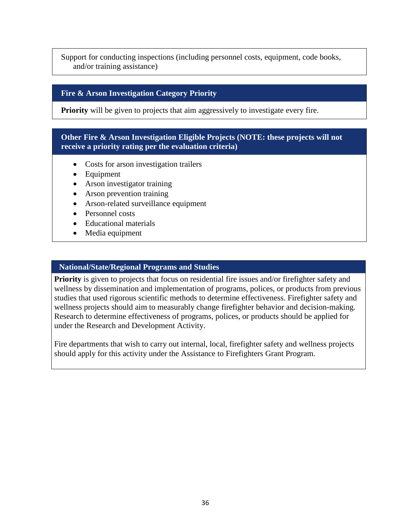Support for conducting inspections (including personnel costs, equipment, code books, and/or training assistance)

# **Fire & Arson Investigation Category Priority**

**Priority** will be given to projects that aim aggressively to investigate every fire.

# **Other Fire & Arson Investigation Eligible Projects (NOTE: these projects will not receive a priority rating per the evaluation criteria)**

- Costs for arson investigation trailers
- Equipment
- Arson investigator training
- Arson prevention training
- Arson-related surveillance equipment
- Personnel costs
- Educational materials
- Media equipment

#### **National/State/Regional Programs and Studies**

**Priority** is given to projects that focus on residential fire issues and/or firefighter safety and wellness by dissemination and implementation of programs, polices, or products from previous studies that used rigorous scientific methods to determine effectiveness. Firefighter safety and wellness projects should aim to measurably change firefighter behavior and decision-making. Research to determine effectiveness of programs, polices, or products should be applied for under the Research and Development Activity.

Fire departments that wish to carry out internal, local, firefighter safety and wellness projects should apply for this activity under the Assistance to Firefighters Grant Program.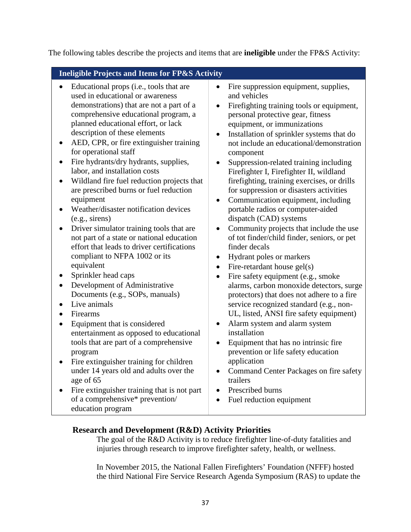The following tables describe the projects and items that are **ineligible** under the FP&S Activity:

# **Ineligible Projects and Items for FP&S Activity**

- Educational props (i.e., tools that are used in educational or awareness demonstrations) that are not a part of a comprehensive educational program, a planned educational effort, or lack description of these elements
- AED, CPR, or fire extinguisher training for operational staff
- Fire hydrants/dry hydrants, supplies, labor, and installation costs
- Wildland fire fuel reduction projects that are prescribed burns or fuel reduction equipment
- Weather/disaster notification devices (e.g., sirens)
- Driver simulator training tools that are not part of a state or national education effort that leads to driver certifications compliant to NFPA 1002 or its equivalent
- Sprinkler head caps
- Development of Administrative Documents (e.g., SOPs, manuals)
- Live animals
- Firearms
- Equipment that is considered entertainment as opposed to educational tools that are part of a comprehensive program
- Fire extinguisher training for children under 14 years old and adults over the age of 65
- Fire extinguisher training that is not part of a comprehensive\* prevention/ education program
- Fire suppression equipment, supplies, and vehicles
- Firefighting training tools or equipment, personal protective gear, fitness equipment, or immunizations
- Installation of sprinkler systems that do not include an educational/demonstration component
- Suppression-related training including Firefighter I, Firefighter II, wildland firefighting, training exercises, or drills for suppression or disasters activities
- Communication equipment, including portable radios or computer-aided dispatch (CAD) systems
- Community projects that include the use of tot finder/child finder, seniors, or pet finder decals
- Hydrant poles or markers
- Fire-retardant house  $gel(s)$
- Fire safety equipment (e.g., smoke alarms, carbon monoxide detectors, surge protectors) that does not adhere to a fire service recognized standard (e.g., non-UL, listed, ANSI fire safety equipment)
- Alarm system and alarm system installation
- Equipment that has no intrinsic fire prevention or life safety education application
- Command Center Packages on fire safety trailers
- Prescribed burns
- Fuel reduction equipment

# **Research and Development (R&D) Activity Priorities**

The goal of the R&D Activity is to reduce firefighter line-of-duty fatalities and injuries through research to improve firefighter safety, health, or wellness.

In November 2015, the National Fallen Firefighters' Foundation (NFFF) hosted the third National Fire Service Research Agenda Symposium (RAS) to update the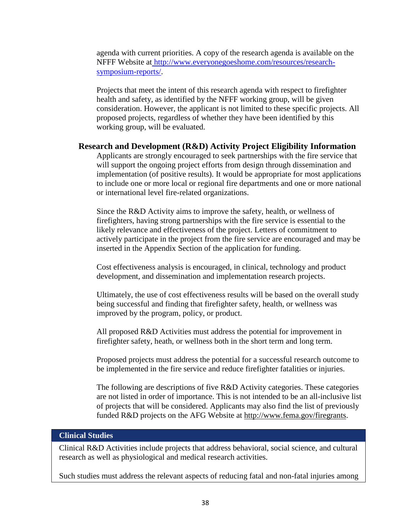agenda with current priorities. A copy of the research agenda is available on the NFFF Website a[t http://www.everyonegoeshome.com/resources/research](http://www.everyonegoeshome.com/resources/research-symposium-reports)[symposium-reports/.](http://www.everyonegoeshome.com/resources/research-symposium-reports)

Projects that meet the intent of this research agenda with respect to firefighter health and safety, as identified by the NFFF working group, will be given consideration. However, the applicant is not limited to these specific projects. All proposed projects, regardless of whether they have been identified by this working group, will be evaluated.

#### **Research and Development (R&D) Activity Project Eligibility Information**

Applicants are strongly encouraged to seek partnerships with the fire service that will support the ongoing project efforts from design through dissemination and implementation (of positive results). It would be appropriate for most applications to include one or more local or regional fire departments and one or more national or international level fire-related organizations.

Since the R&D Activity aims to improve the safety, health, or wellness of firefighters, having strong partnerships with the fire service is essential to the likely relevance and effectiveness of the project. Letters of commitment to actively participate in the project from the fire service are encouraged and may be inserted in the Appendix Section of the application for funding.

Cost effectiveness analysis is encouraged, in clinical, technology and product development, and dissemination and implementation research projects.

Ultimately, the use of cost effectiveness results will be based on the overall study being successful and finding that firefighter safety, health, or wellness was improved by the program, policy, or product.

All proposed R&D Activities must address the potential for improvement in firefighter safety, heath, or wellness both in the short term and long term.

Proposed projects must address the potential for a successful research outcome to be implemented in the fire service and reduce firefighter fatalities or injuries.

The following are descriptions of five R&D Activity categories. These categories are not listed in order of importance. This is not intended to be an all-inclusive list of projects that will be considered. Applicants may also find the list of previously funded R&D projects on the AFG Website at [http://www.fema.gov/firegrants.](http://www.fema.gov/firegrants)

#### **Clinical Studies**

Clinical R&D Activities include projects that address behavioral, social science, and cultural research as well as physiological and medical research activities.

Such studies must address the relevant aspects of reducing fatal and non-fatal injuries among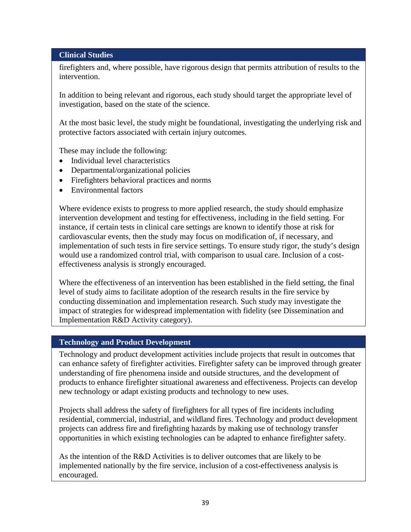#### **Clinical Studies**

firefighters and, where possible, have rigorous design that permits attribution of results to the intervention.

In addition to being relevant and rigorous, each study should target the appropriate level of investigation, based on the state of the science.

At the most basic level, the study might be foundational, investigating the underlying risk and protective factors associated with certain injury outcomes.

These may include the following:

- Individual level characteristics
- Departmental/organizational policies
- Firefighters behavioral practices and norms
- Environmental factors

Where evidence exists to progress to more applied research, the study should emphasize intervention development and testing for effectiveness, including in the field setting. For instance, if certain tests in clinical care settings are known to identify those at risk for cardiovascular events, then the study may focus on modification of, if necessary, and implementation of such tests in fire service settings. To ensure study rigor, the study's design would use a randomized control trial, with comparison to usual care. Inclusion of a costeffectiveness analysis is strongly encouraged.

Where the effectiveness of an intervention has been established in the field setting, the final level of study aims to facilitate adoption of the research results in the fire service by conducting dissemination and implementation research. Such study may investigate the impact of strategies for widespread implementation with fidelity (see Dissemination and Implementation R&D Activity category).

#### **Technology and Product Development**

Technology and product development activities include projects that result in outcomes that can enhance safety of firefighter activities. Firefighter safety can be improved through greater understanding of fire phenomena inside and outside structures, and the development of products to enhance firefighter situational awareness and effectiveness. Projects can develop new technology or adapt existing products and technology to new uses.

Projects shall address the safety of firefighters for all types of fire incidents including residential, commercial, industrial, and wildland fires. Technology and product development projects can address fire and firefighting hazards by making use of technology transfer opportunities in which existing technologies can be adapted to enhance firefighter safety.

As the intention of the R&D Activities is to deliver outcomes that are likely to be implemented nationally by the fire service, inclusion of a cost-effectiveness analysis is encouraged.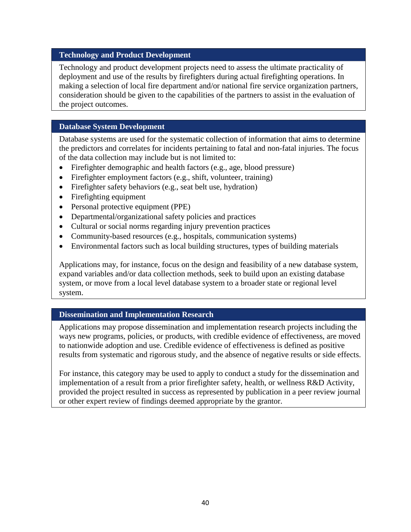#### **Technology and Product Development**

Technology and product development projects need to assess the ultimate practicality of deployment and use of the results by firefighters during actual firefighting operations. In making a selection of local fire department and/or national fire service organization partners, consideration should be given to the capabilities of the partners to assist in the evaluation of the project outcomes.

### **Database System Development**

Database systems are used for the systematic collection of information that aims to determine the predictors and correlates for incidents pertaining to fatal and non-fatal injuries. The focus of the data collection may include but is not limited to:

- Firefighter demographic and health factors (e.g., age, blood pressure)
- Firefighter employment factors (e.g., shift, volunteer, training)
- Firefighter safety behaviors (e.g., seat belt use, hydration)
- Firefighting equipment
- Personal protective equipment (PPE)
- Departmental/organizational safety policies and practices
- Cultural or social norms regarding injury prevention practices
- Community-based resources (e.g., hospitals, communication systems)
- Environmental factors such as local building structures, types of building materials

Applications may, for instance, focus on the design and feasibility of a new database system, expand variables and/or data collection methods, seek to build upon an existing database system, or move from a local level database system to a broader state or regional level system.

# **Dissemination and Implementation Research**

Applications may propose dissemination and implementation research projects including the ways new programs, policies, or products, with credible evidence of effectiveness, are moved to nationwide adoption and use. Credible evidence of effectiveness is defined as positive results from systematic and rigorous study, and the absence of negative results or side effects.

For instance, this category may be used to apply to conduct a study for the dissemination and implementation of a result from a prior firefighter safety, health, or wellness R&D Activity, provided the project resulted in success as represented by publication in a peer review journal or other expert review of findings deemed appropriate by the grantor.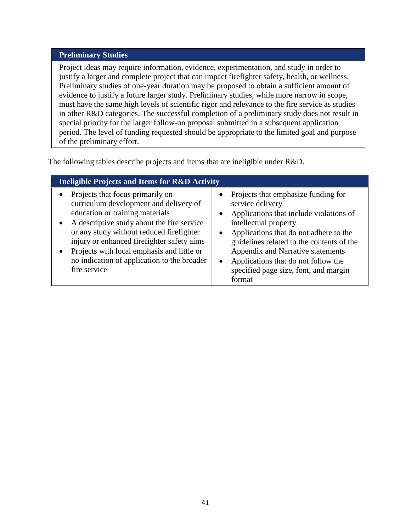#### **Preliminary Studies**

Project ideas may require information, evidence, experimentation, and study in order to justify a larger and complete project that can impact firefighter safety, health, or wellness. Preliminary studies of one-year duration may be proposed to obtain a sufficient amount of evidence to justify a future larger study. Preliminary studies, while more narrow in scope, must have the same high levels of scientific rigor and relevance to the fire service as studies in other R&D categories. The successful completion of a preliminary study does not result in special priority for the larger follow-on proposal submitted in a subsequent application period. The level of funding requested should be appropriate to the limited goal and purpose of the preliminary effort.

The following tables describe projects and items that are ineligible under R&D.

| <b>Ineligible Projects and Items for R&amp;D Activity</b>                                                                                                                                                                                                                                                                                                                       |                                                                                                                                                                                                                                                                                                                                                                |  |
|---------------------------------------------------------------------------------------------------------------------------------------------------------------------------------------------------------------------------------------------------------------------------------------------------------------------------------------------------------------------------------|----------------------------------------------------------------------------------------------------------------------------------------------------------------------------------------------------------------------------------------------------------------------------------------------------------------------------------------------------------------|--|
| Projects that focus primarily on<br>curriculum development and delivery of<br>education or training materials<br>A descriptive study about the fire service<br>$\bullet$<br>or any study without reduced firefighter<br>injury or enhanced firefighter safety aims<br>Projects with local emphasis and little or<br>no indication of application to the broader<br>fire service | Projects that emphasize funding for<br>$\bullet$<br>service delivery<br>Applications that include violations of<br>intellectual property<br>Applications that do not adhere to the<br>guidelines related to the contents of the<br>Appendix and Narrative statements<br>Applications that do not follow the<br>specified page size, font, and margin<br>format |  |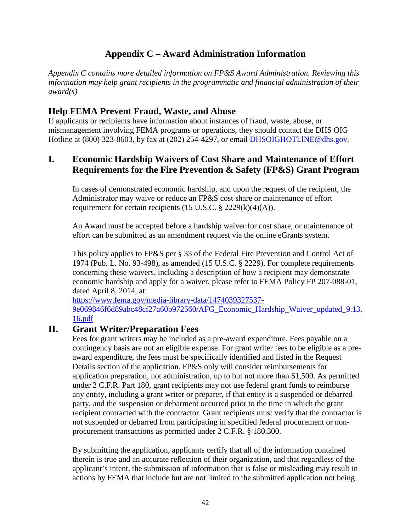# **Appendix C – Award Administration Information**

*Appendix C contains more detailed information on FP&S Award Administration. Reviewing this information may help grant recipients in the programmatic and financial administration of their award(s)*

# **Help FEMA Prevent Fraud, Waste, and Abuse**

If applicants or recipients have information about instances of fraud, waste, abuse, or mismanagement involving FEMA programs or operations, they should contact the DHS OIG Hotline at (800) 323-8603, by fax at (202) 254-4297, or email [DHSOIGHOTLlNE@dhs.gov](mailto:DHSOIGHOTLlNE@dhs.gov)*.*

# **I. Economic Hardship Waivers of Cost Share and Maintenance of Effort Requirements for the Fire Prevention & Safety (FP&S) Grant Program**

In cases of demonstrated economic hardship, and upon the request of the recipient, the Administrator may waive or reduce an FP&S cost share or maintenance of effort requirement for certain recipients  $(15 \text{ U.S.C.} \S 2229(k)(4)(A)).$ 

An Award must be accepted before a hardship waiver for cost share, or maintenance of effort can be submitted as an amendment request via the online eGrants system.

This policy applies to FP&S per § 33 of the Federal Fire Prevention and Control Act of 1974 (Pub. L. No. 93-498), as amended (15 U.S.C. § 2229). For complete requirements concerning these waivers, including a description of how a recipient may demonstrate economic hardship and apply for a waiver, please refer to FEMA Policy FP 207-088-01, dated April 8, 2014, at:

[https://www.fema.gov/media-library-data/1474039327537-](https://www.fema.gov/media-library-data/1474039327537-9e069846f6d89abc48cf27a60b972560/AFG_Economic_Hardship_Waiver_updated_9.13.16.pdf) [9e069846f6d89abc48cf27a60b972560/AFG\\_Economic\\_Hardship\\_Waiver\\_updated\\_9.13.](https://www.fema.gov/media-library-data/1474039327537-9e069846f6d89abc48cf27a60b972560/AFG_Economic_Hardship_Waiver_updated_9.13.16.pdf) [16.pdf](https://www.fema.gov/media-library-data/1474039327537-9e069846f6d89abc48cf27a60b972560/AFG_Economic_Hardship_Waiver_updated_9.13.16.pdf)

# **II. Grant Writer/Preparation Fees**

Fees for grant writers may be included as a pre-award expenditure. Fees payable on a contingency basis are not an eligible expense. For grant writer fees to be eligible as a preaward expenditure, the fees must be specifically identified and listed in the Request Details section of the application. FP&S only will consider reimbursements for application preparation, not administration, up to but not more than \$1,500. As permitted under 2 C.F.R. Part 180, grant recipients may not use federal grant funds to reimburse any entity, including a grant writer or preparer, if that entity is a suspended or debarred party, and the suspension or debarment occurred prior to the time in which the grant recipient contracted with the contractor. Grant recipients must verify that the contractor is not suspended or debarred from participating in specified federal procurement or nonprocurement transactions as permitted under 2 C.F.R. § 180.300.

By submitting the application, applicants certify that all of the information contained therein is true and an accurate reflection of their organization, and that regardless of the applicant's intent, the submission of information that is false or misleading may result in actions by FEMA that include but are not limited to the submitted application not being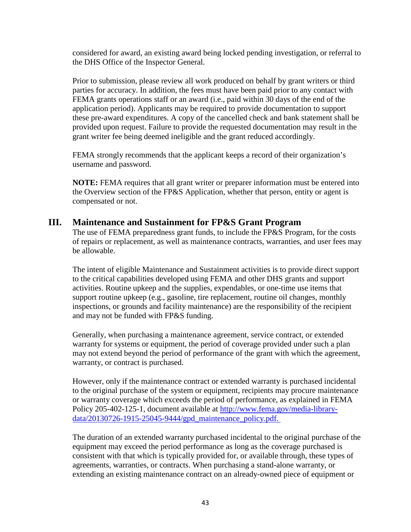considered for award, an existing award being locked pending investigation, or referral to the DHS Office of the Inspector General.

Prior to submission, please review all work produced on behalf by grant writers or third parties for accuracy. In addition, the fees must have been paid prior to any contact with FEMA grants operations staff or an award (i.e., paid within 30 days of the end of the application period). Applicants may be required to provide documentation to support these pre-award expenditures. A copy of the cancelled check and bank statement shall be provided upon request. Failure to provide the requested documentation may result in the grant writer fee being deemed ineligible and the grant reduced accordingly.

FEMA strongly recommends that the applicant keeps a record of their organization's username and password.

**NOTE:** FEMA requires that all grant writer or preparer information must be entered into the Overview section of the FP&S Application, whether that person, entity or agent is compensated or not.

# **III. Maintenance and Sustainment for FP&S Grant Program**

The use of FEMA preparedness grant funds, to include the FP&S Program, for the costs of repairs or replacement, as well as maintenance contracts, warranties, and user fees may be allowable.

The intent of eligible Maintenance and Sustainment activities is to provide direct support to the critical capabilities developed using FEMA and other DHS grants and support activities. Routine upkeep and the supplies, expendables, or one-time use items that support routine upkeep (e.g., gasoline, tire replacement, routine oil changes, monthly inspections, or grounds and facility maintenance) are the responsibility of the recipient and may not be funded with FP&S funding.

Generally, when purchasing a maintenance agreement, service contract, or extended warranty for systems or equipment, the period of coverage provided under such a plan may not extend beyond the period of performance of the grant with which the agreement, warranty, or contract is purchased.

However, only if the maintenance contract or extended warranty is purchased incidental to the original purchase of the system or equipment, recipients may procure maintenance or warranty coverage which exceeds the period of performance, as explained in FEMA Policy 205-402-125-1, document available at [http://www.fema.gov/media-library](http://www.fema.gov/media-library-data/20130726-1915-25045-9444/gpd_maintenance_policy.pdf)[data/20130726-1915-25045-9444/gpd\\_maintenance\\_policy.pdf.](http://www.fema.gov/media-library-data/20130726-1915-25045-9444/gpd_maintenance_policy.pdf)

The duration of an extended warranty purchased incidental to the original purchase of the equipment may exceed the period performance as long as the coverage purchased is consistent with that which is typically provided for, or available through, these types of agreements, warranties, or contracts. When purchasing a stand-alone warranty, or extending an existing maintenance contract on an already-owned piece of equipment or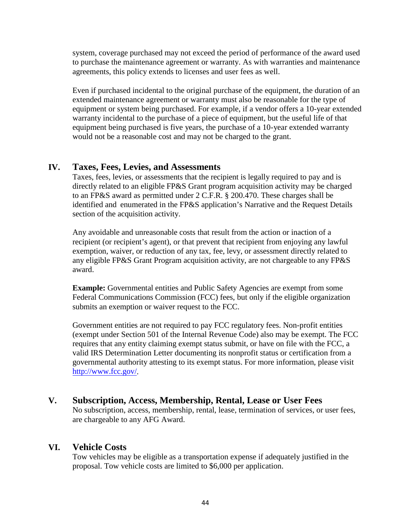system, coverage purchased may not exceed the period of performance of the award used to purchase the maintenance agreement or warranty. As with warranties and maintenance agreements, this policy extends to licenses and user fees as well.

Even if purchased incidental to the original purchase of the equipment, the duration of an extended maintenance agreement or warranty must also be reasonable for the type of equipment or system being purchased. For example, if a vendor offers a 10-year extended warranty incidental to the purchase of a piece of equipment, but the useful life of that equipment being purchased is five years, the purchase of a 10-year extended warranty would not be a reasonable cost and may not be charged to the grant.

# **IV. Taxes, Fees, Levies, and Assessments**

Taxes, fees, levies, or assessments that the recipient is legally required to pay and is directly related to an eligible FP&S Grant program acquisition activity may be charged to an FP&S award as permitted under 2 C.F.R. § 200.470. These charges shall be identified and enumerated in the FP&S application's Narrative and the Request Details section of the acquisition activity.

Any avoidable and unreasonable costs that result from the action or inaction of a recipient (or recipient's agent), or that prevent that recipient from enjoying any lawful exemption, waiver, or reduction of any tax, fee, levy, or assessment directly related to any eligible FP&S Grant Program acquisition activity, are not chargeable to any FP&S award.

**Example:** Governmental entities and Public Safety Agencies are exempt from some Federal Communications Commission (FCC) fees, but only if the eligible organization submits an exemption or waiver request to the FCC.

Government entities are not required to pay FCC regulatory fees. Non-profit entities (exempt under Section 501 of the Internal Revenue Code) also may be exempt. The FCC requires that any entity claiming exempt status submit, or have on file with the FCC, a valid IRS Determination Letter documenting its nonprofit status or certification from a governmental authority attesting to its exempt status. For more information, please visit [http://www.fcc.gov/.](http://www.fcc.gov/)

# **V. Subscription, Access, Membership, Rental, Lease or User Fees**

No subscription, access, membership, rental, lease, termination of services, or user fees, are chargeable to any AFG Award.

# **VI. Vehicle Costs**

Tow vehicles may be eligible as a transportation expense if adequately justified in the proposal. Tow vehicle costs are limited to \$6,000 per application.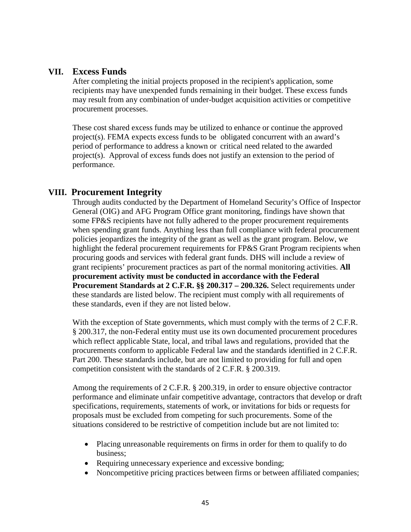# **VII. Excess Funds**

After completing the initial projects proposed in the recipient's application, some recipients may have unexpended funds remaining in their budget. These excess funds may result from any combination of under-budget acquisition activities or competitive procurement processes.

These cost shared excess funds may be utilized to enhance or continue the approved project(s). FEMA expects excess funds to be obligated concurrent with an award's period of performance to address a known or critical need related to the awarded project(s). Approval of excess funds does not justify an extension to the period of performance.

# **VIII. Procurement Integrity**

Through audits conducted by the Department of Homeland Security's Office of Inspector General (OIG) and AFG Program Office grant monitoring, findings have shown that some FP&S recipients have not fully adhered to the proper procurement requirements when spending grant funds. Anything less than full compliance with federal procurement policies jeopardizes the integrity of the grant as well as the grant program. Below, we highlight the federal procurement requirements for FP&S Grant Program recipients when procuring goods and services with federal grant funds. DHS will include a review of grant recipients' procurement practices as part of the normal monitoring activities. **All procurement activity must be conducted in accordance with the Federal Procurement Standards at 2 C.F.R. §§ 200.317 – 200.326.** Select requirements under these standards are listed below. The recipient must comply with all requirements of these standards, even if they are not listed below.

With the exception of State governments, which must comply with the terms of 2 C.F.R. § 200.317, the non-Federal entity must use its own documented procurement procedures which reflect applicable State, local, and tribal laws and regulations, provided that the procurements conform to applicable Federal law and the standards identified in 2 C.F.R. Part 200. These standards include, but are not limited to providing for full and open competition consistent with the standards of 2 C.F.R. § 200.319.

Among the requirements of 2 C.F.R. § 200.319, in order to ensure objective contractor performance and eliminate unfair competitive advantage, contractors that develop or draft specifications, requirements, statements of work, or invitations for bids or requests for proposals must be excluded from competing for such procurements. Some of the situations considered to be restrictive of competition include but are not limited to:

- Placing unreasonable requirements on firms in order for them to qualify to do business;
- Requiring unnecessary experience and excessive bonding;
- Noncompetitive pricing practices between firms or between affiliated companies;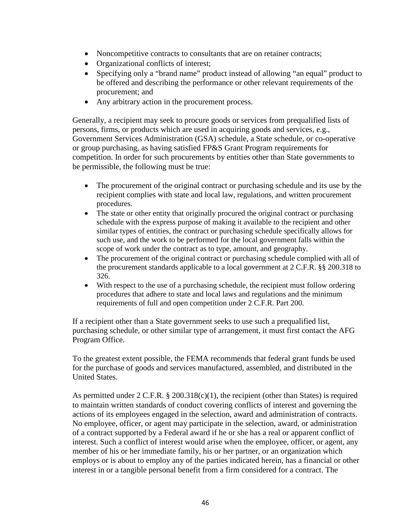- Noncompetitive contracts to consultants that are on retainer contracts;
- Organizational conflicts of interest;
- Specifying only a "brand name" product instead of allowing "an equal" product to be offered and describing the performance or other relevant requirements of the procurement; and
- Any arbitrary action in the procurement process.

Generally, a recipient may seek to procure goods or services from prequalified lists of persons, firms, or products which are used in acquiring goods and services, e.g., Government Services Administration (GSA) schedule, a State schedule, or co-operative or group purchasing, as having satisfied FP&S Grant Program requirements for competition. In order for such procurements by entities other than State governments to be permissible, the following must be true:

- The procurement of the original contract or purchasing schedule and its use by the recipient complies with state and local law, regulations, and written procurement procedures.
- The state or other entity that originally procured the original contract or purchasing schedule with the express purpose of making it available to the recipient and other similar types of entities, the contract or purchasing schedule specifically allows for such use, and the work to be performed for the local government falls within the scope of work under the contract as to type, amount, and geography.
- The procurement of the original contract or purchasing schedule complied with all of the procurement standards applicable to a local government at 2 C.F.R. §§ 200.318 to 326.
- With respect to the use of a purchasing schedule, the recipient must follow ordering procedures that adhere to state and local laws and regulations and the minimum requirements of full and open competition under 2 C.F.R. Part 200.

If a recipient other than a State government seeks to use such a prequalified list, purchasing schedule, or other similar type of arrangement, it must first contact the AFG Program Office.

To the greatest extent possible, the FEMA recommends that federal grant funds be used for the purchase of goods and services manufactured, assembled, and distributed in the United States.

As permitted under 2 C.F.R.  $\S 200.318(c)(1)$ , the recipient (other than States) is required to maintain written standards of conduct covering conflicts of interest and governing the actions of its employees engaged in the selection, award and administration of contracts. No employee, officer, or agent may participate in the selection, award, or administration of a contract supported by a Federal award if he or she has a real or apparent conflict of interest. Such a conflict of interest would arise when the employee, officer, or agent, any member of his or her immediate family, his or her partner, or an organization which employs or is about to employ any of the parties indicated herein, has a financial or other interest in or a tangible personal benefit from a firm considered for a contract. The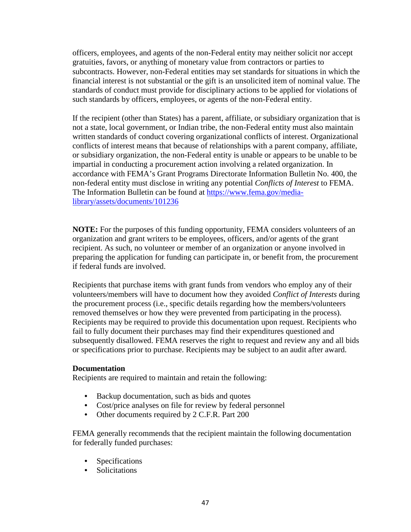officers, employees, and agents of the non-Federal entity may neither solicit nor accept gratuities, favors, or anything of monetary value from contractors or parties to subcontracts. However, non-Federal entities may set standards for situations in which the financial interest is not substantial or the gift is an unsolicited item of nominal value. The standards of conduct must provide for disciplinary actions to be applied for violations of such standards by officers, employees, or agents of the non-Federal entity.

If the recipient (other than States) has a parent, affiliate, or subsidiary organization that is not a state, local government, or Indian tribe, the non-Federal entity must also maintain written standards of conduct covering organizational conflicts of interest. Organizational conflicts of interest means that because of relationships with a parent company, affiliate, or subsidiary organization, the non-Federal entity is unable or appears to be unable to be impartial in conducting a procurement action involving a related organization. In accordance with FEMA's Grant Programs Directorate Information Bulletin No. 400, the non-federal entity must disclose in writing any potential *Conflicts of Interest* to FEMA. The Information Bulletin can be found at [https://www.fema.gov/media](https://www.fema.gov/media-library/assets/documents/101236)[library/assets/documents/101236](https://www.fema.gov/media-library/assets/documents/101236)

**NOTE:** For the purposes of this funding opportunity, FEMA considers volunteers of an organization and grant writers to be employees, officers, and/or agents of the grant recipient. As such, no volunteer or member of an organization or anyone involved in preparing the application for funding can participate in, or benefit from, the procurement if federal funds are involved.

Recipients that purchase items with grant funds from vendors who employ any of their volunteers/members will have to document how they avoided *Conflict of Interests* during the procurement process (i.e., specific details regarding how the members/volunteers removed themselves or how they were prevented from participating in the process). Recipients may be required to provide this documentation upon request. Recipients who fail to fully document their purchases may find their expenditures questioned and subsequently disallowed. FEMA reserves the right to request and review any and all bids or specifications prior to purchase. Recipients may be subject to an audit after award.

#### **Documentation**

Recipients are required to maintain and retain the following:

- **•** Backup documentation, such as bids and quotes
- **•** Cost/price analyses on file for review by federal personnel
- **•** Other documents required by 2 C.F.R. Part 200

FEMA generally recommends that the recipient maintain the following documentation for federally funded purchases:

- **•** Specifications
- **•** Solicitations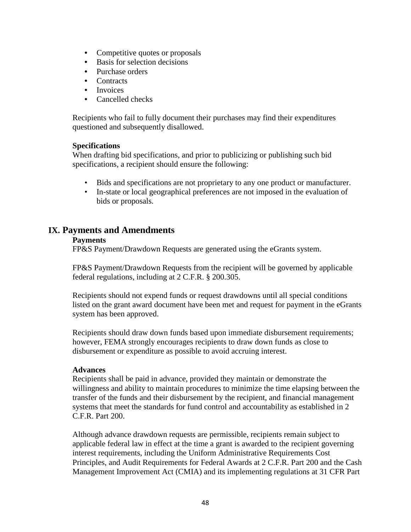- Competitive quotes or proposals
- **•** Basis for selection decisions
- **•** Purchase orders
- **•** Contracts
- **•** Invoices
- **•** Cancelled checks

Recipients who fail to fully document their purchases may find their expenditures questioned and subsequently disallowed.

#### **Specifications**

When drafting bid specifications, and prior to publicizing or publishing such bid specifications, a recipient should ensure the following:

- Bids and specifications are not proprietary to any one product or manufacturer.
- In-state or local geographical preferences are not imposed in the evaluation of bids or proposals.

# **IX. Payments and Amendments**

#### **Payments**

FP&S Payment/Drawdown Requests are generated using the eGrants system.

FP&S Payment/Drawdown Requests from the recipient will be governed by applicable federal regulations, including at 2 C.F.R. § 200.305.

Recipients should not expend funds or request drawdowns until all special conditions listed on the grant award document have been met and request for payment in the eGrants system has been approved.

Recipients should draw down funds based upon immediate disbursement requirements; however, FEMA strongly encourages recipients to draw down funds as close to disbursement or expenditure as possible to avoid accruing interest.

#### **Advances**

Recipients shall be paid in advance, provided they maintain or demonstrate the willingness and ability to maintain procedures to minimize the time elapsing between the transfer of the funds and their disbursement by the recipient, and financial management systems that meet the standards for fund control and accountability as established in 2 C.F.R. Part 200.

Although advance drawdown requests are permissible, recipients remain subject to applicable federal law in effect at the time a grant is awarded to the recipient governing interest requirements, including the Uniform Administrative Requirements Cost Principles, and Audit Requirements for Federal Awards at 2 C.F.R. Part 200 and the Cash Management Improvement Act (CMIA) and its implementing regulations at 31 CFR Part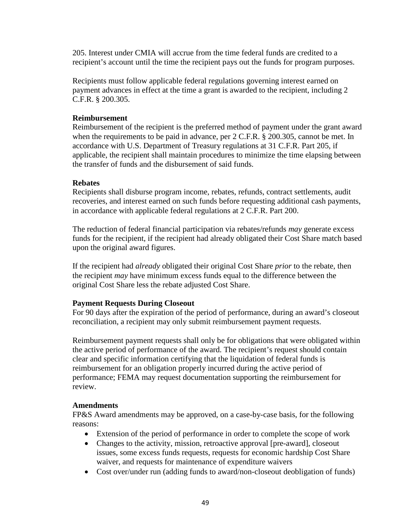205. Interest under CMIA will accrue from the time federal funds are credited to a recipient's account until the time the recipient pays out the funds for program purposes.

Recipients must follow applicable federal regulations governing interest earned on payment advances in effect at the time a grant is awarded to the recipient, including 2 C.F.R. § 200.305.

### **Reimbursement**

Reimbursement of the recipient is the preferred method of payment under the grant award when the requirements to be paid in advance, per 2 C.F.R. § 200.305, cannot be met. In accordance with U.S. Department of Treasury regulations at 31 C.F.R. Part 205, if applicable, the recipient shall maintain procedures to minimize the time elapsing between the transfer of funds and the disbursement of said funds.

### **Rebates**

Recipients shall disburse program income, rebates, refunds, contract settlements, audit recoveries, and interest earned on such funds before requesting additional cash payments, in accordance with applicable federal regulations at 2 C.F.R. Part 200.

The reduction of federal financial participation via rebates/refunds *may* generate excess funds for the recipient, if the recipient had already obligated their Cost Share match based upon the original award figures.

If the recipient had *already* obligated their original Cost Share *prior* to the rebate, then the recipient *may* have minimum excess funds equal to the difference between the original Cost Share less the rebate adjusted Cost Share.

#### **Payment Requests During Closeout**

For 90 days after the expiration of the period of performance, during an award's closeout reconciliation, a recipient may only submit reimbursement payment requests.

Reimbursement payment requests shall only be for obligations that were obligated within the active period of performance of the award. The recipient's request should contain clear and specific information certifying that the liquidation of federal funds is reimbursement for an obligation properly incurred during the active period of performance; FEMA may request documentation supporting the reimbursement for review.

#### **Amendments**

FP&S Award amendments may be approved, on a case-by-case basis, for the following reasons:

- Extension of the period of performance in order to complete the scope of work
- Changes to the activity, mission, retroactive approval [pre-award], closeout issues, some excess funds requests, requests for economic hardship Cost Share waiver, and requests for maintenance of expenditure waivers
- Cost over/under run (adding funds to award/non-closeout deobligation of funds)